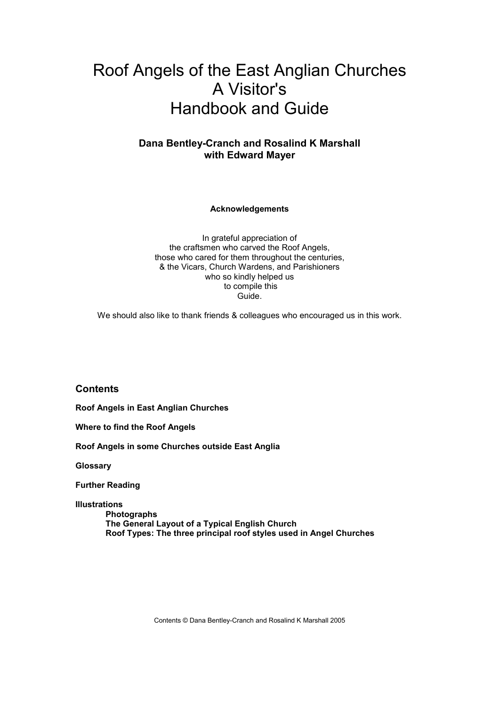# Roof Angels of the East Anglian Churches A Visitor's Handbook and Guide

# **Dana Bentley-Cranch and Rosalind K Marshall with Edward Mayer**

**Acknowledgements**

In grateful appreciation of the craftsmen who carved the Roof Angels, those who cared for them throughout the centuries, & the Vicars, Church Wardens, and Parishioners who so kindly helped us to compile this Guide.

We should also like to thank friends & colleagues who encouraged us in this work.

**Contents**

**Roof Angels in East Anglian Churches**

**Where to find the Roof Angels**

**Roof Angels in some Churches outside East Anglia**

**Glossary**

**Further Reading**

**Illustrations**

**Photographs The General Layout of a Typical English Church Roof Types: The three principal roof styles used in Angel Churches**

Contents © Dana Bentley-Cranch and Rosalind K Marshall 2005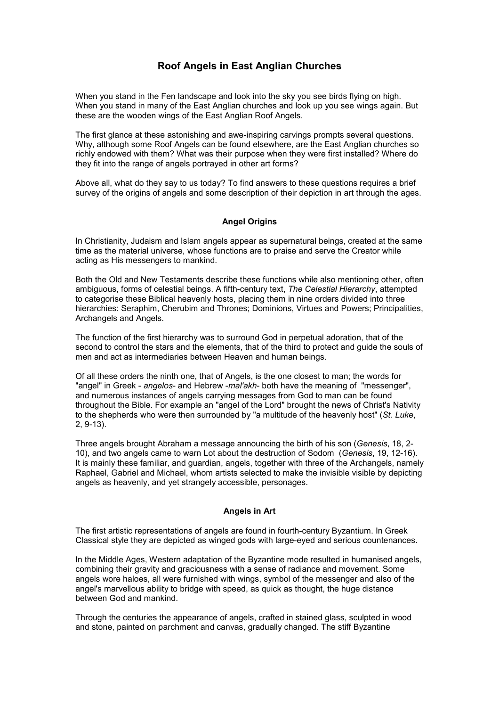# **Roof Angels in East Anglian Churches**

When you stand in the Fen landscape and look into the sky you see birds flying on high. When you stand in many of the East Anglian churches and look up you see wings again. But these are the wooden wings of the East Anglian Roof Angels.

The first glance at these astonishing and awe-inspiring carvings prompts several questions. Why, although some Roof Angels can be found elsewhere, are the East Anglian churches so richly endowed with them? What was their purpose when they were first installed? Where do they fit into the range of angels portrayed in other art forms?

Above all, what do they say to us today? To find answers to these questions requires a brief survey of the origins of angels and some description of their depiction in art through the ages.

# **Angel Origins**

In Christianity, Judaism and Islam angels appear as supernatural beings, created at the same time as the material universe, whose functions are to praise and serve the Creator while acting as His messengers to mankind.

Both the Old and New Testaments describe these functions while also mentioning other, often ambiguous, forms of celestial beings. A fifth-century text, *The Celestial Hierarchy*, attempted to categorise these Biblical heavenly hosts, placing them in nine orders divided into three hierarchies: Seraphim, Cherubim and Thrones; Dominions, Virtues and Powers; Principalities, Archangels and Angels.

The function of the first hierarchy was to surround God in perpetual adoration, that of the second to control the stars and the elements, that of the third to protect and guide the souls of men and act as intermediaries between Heaven and human beings.

Of all these orders the ninth one, that of Angels, is the one closest to man; the words for "angel" in Greek - *angelos*- and Hebrew -*mal'akh*- both have the meaning of "messenger", and numerous instances of angels carrying messages from God to man can be found throughout the Bible. For example an "angel of the Lord" brought the news of Christ's Nativity to the shepherds who were then surrounded by "a multitude of the heavenly host" (*St. Luke*, 2, 9-13).

Three angels brought Abraham a message announcing the birth of his son (*Genesis*, 18, 2- 10), and two angels came to warn Lot about the destruction of Sodom (*Genesis*, 19, 12-16). It is mainly these familiar, and guardian, angels, together with three of the Archangels, namely Raphael, Gabriel and Michael, whom artists selected to make the invisible visible by depicting angels as heavenly, and yet strangely accessible, personages.

## **Angels in Art**

The first artistic representations of angels are found in fourth-century Byzantium. In Greek Classical style they are depicted as winged gods with large-eyed and serious countenances.

In the Middle Ages, Western adaptation of the Byzantine mode resulted in humanised angels, combining their gravity and graciousness with a sense of radiance and movement. Some angels wore haloes, all were furnished with wings, symbol of the messenger and also of the angel's marvellous ability to bridge with speed, as quick as thought, the huge distance between God and mankind.

Through the centuries the appearance of angels, crafted in stained glass, sculpted in wood and stone, painted on parchment and canvas, gradually changed. The stiff Byzantine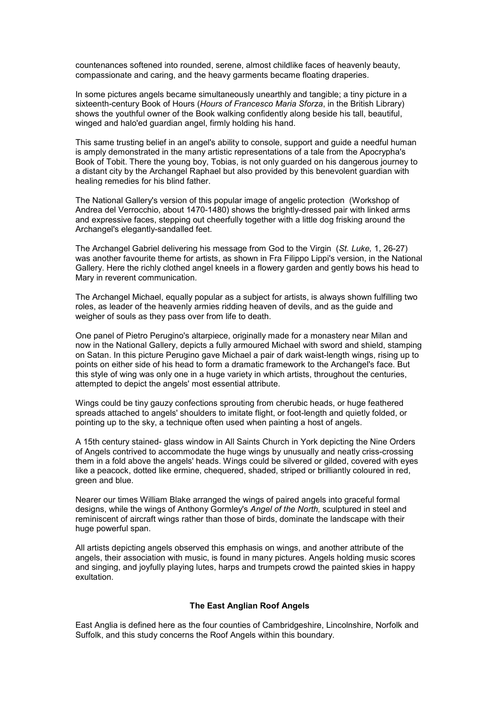countenances softened into rounded, serene, almost childlike faces of heavenly beauty, compassionate and caring, and the heavy garments became floating draperies.

In some pictures angels became simultaneously unearthly and tangible; a tiny picture in a sixteenth-century Book of Hours (*Hours of Francesco Maria Sforza*, in the British Library) shows the youthful owner of the Book walking confidently along beside his tall, beautiful, winged and halo'ed guardian angel, firmly holding his hand.

This same trusting belief in an angel's ability to console, support and guide a needful human is amply demonstrated in the many artistic representations of a tale from the Apocrypha's Book of Tobit. There the young boy, Tobias, is not only guarded on his dangerous journey to a distant city by the Archangel Raphael but also provided by this benevolent guardian with healing remedies for his blind father.

The National Gallery's version of this popular image of angelic protection (Workshop of Andrea del Verrocchio, about 1470-1480) shows the brightly-dressed pair with linked arms and expressive faces, stepping out cheerfully together with a little dog frisking around the Archangel's elegantly-sandalled feet.

The Archangel Gabriel delivering his message from God to the Virgin (*St. Luke,* 1, 26-27) was another favourite theme for artists, as shown in Fra Filippo Lippi's version, in the National Gallery. Here the richly clothed angel kneels in a flowery garden and gently bows his head to Mary in reverent communication.

The Archangel Michael, equally popular as a subject for artists, is always shown fulfilling two roles, as leader of the heavenly armies ridding heaven of devils, and as the guide and weigher of souls as they pass over from life to death.

One panel of Pietro Perugino's altarpiece, originally made for a monastery near Milan and now in the National Gallery, depicts a fully armoured Michael with sword and shield, stamping on Satan. In this picture Perugino gave Michael a pair of dark waist-length wings, rising up to points on either side of his head to form a dramatic framework to the Archangel's face. But this style of wing was only one in a huge variety in which artists, throughout the centuries, attempted to depict the angels' most essential attribute.

Wings could be tiny gauzy confections sprouting from cherubic heads, or huge feathered spreads attached to angels' shoulders to imitate flight, or foot-length and quietly folded, or pointing up to the sky, a technique often used when painting a host of angels.

A 15th century stained- glass window in All Saints Church in York depicting the Nine Orders of Angels contrived to accommodate the huge wings by unusually and neatly criss-crossing them in a fold above the angels' heads. Wings could be silvered or gilded, covered with eyes like a peacock, dotted like ermine, chequered, shaded, striped or brilliantly coloured in red, green and blue.

Nearer our times William Blake arranged the wings of paired angels into graceful formal designs, while the wings of Anthony Gormley's *Angel of the North,* sculptured in steel and reminiscent of aircraft wings rather than those of birds, dominate the landscape with their huge powerful span.

All artists depicting angels observed this emphasis on wings, and another attribute of the angels, their association with music, is found in many pictures. Angels holding music scores and singing, and joyfully playing lutes, harps and trumpets crowd the painted skies in happy exultation.

#### **The East Anglian Roof Angels**

East Anglia is defined here as the four counties of Cambridgeshire, Lincolnshire, Norfolk and Suffolk, and this study concerns the Roof Angels within this boundary.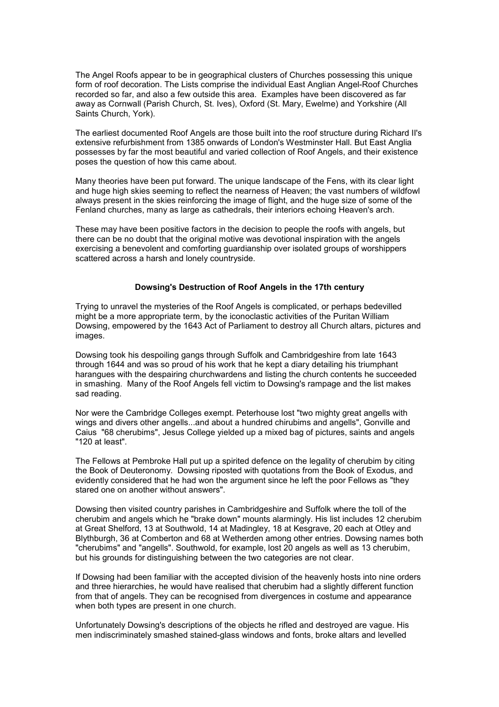The Angel Roofs appear to be in geographical clusters of Churches possessing this unique form of roof decoration. The Lists comprise the individual East Anglian Angel-Roof Churches recorded so far, and also a few outside this area. Examples have been discovered as far away as Cornwall (Parish Church, St. Ives), Oxford (St. Mary, Ewelme) and Yorkshire (All Saints Church, York).

The earliest documented Roof Angels are those built into the roof structure during Richard II's extensive refurbishment from 1385 onwards of London's Westminster Hall. But East Anglia possesses by far the most beautiful and varied collection of Roof Angels, and their existence poses the question of how this came about.

Many theories have been put forward. The unique landscape of the Fens, with its clear light and huge high skies seeming to reflect the nearness of Heaven; the vast numbers of wildfowl always present in the skies reinforcing the image of flight, and the huge size of some of the Fenland churches, many as large as cathedrals, their interiors echoing Heaven's arch.

These may have been positive factors in the decision to people the roofs with angels, but there can be no doubt that the original motive was devotional inspiration with the angels exercising a benevolent and comforting guardianship over isolated groups of worshippers scattered across a harsh and lonely countryside.

#### **Dowsing's Destruction of Roof Angels in the 17th century**

Trying to unravel the mysteries of the Roof Angels is complicated, or perhaps bedevilled might be a more appropriate term, by the iconoclastic activities of the Puritan William Dowsing, empowered by the 1643 Act of Parliament to destroy all Church altars, pictures and images.

Dowsing took his despoiling gangs through Suffolk and Cambridgeshire from late 1643 through 1644 and was so proud of his work that he kept a diary detailing his triumphant harangues with the despairing churchwardens and listing the church contents he succeeded in smashing. Many of the Roof Angels fell victim to Dowsing's rampage and the list makes sad reading.

Nor were the Cambridge Colleges exempt. Peterhouse lost "two mighty great angells with wings and divers other angells...and about a hundred chirubims and angells", Gonville and Caius "68 cherubims", Jesus College yielded up a mixed bag of pictures, saints and angels "120 at least".

The Fellows at Pembroke Hall put up a spirited defence on the legality of cherubim by citing the Book of Deuteronomy. Dowsing riposted with quotations from the Book of Exodus, and evidently considered that he had won the argument since he left the poor Fellows as "they stared one on another without answers".

Dowsing then visited country parishes in Cambridgeshire and Suffolk where the toll of the cherubim and angels which he "brake down" mounts alarmingly. His list includes 12 cherubim at Great Shelford, 13 at Southwold, 14 at Madingley, 18 at Kesgrave, 20 each at Otley and Blythburgh, 36 at Comberton and 68 at Wetherden among other entries. Dowsing names both "cherubims" and "angells". Southwold, for example, lost 20 angels as well as 13 cherubim, but his grounds for distinguishing between the two categories are not clear.

If Dowsing had been familiar with the accepted division of the heavenly hosts into nine orders and three hierarchies, he would have realised that cherubim had a slightly different function from that of angels. They can be recognised from divergences in costume and appearance when both types are present in one church.

Unfortunately Dowsing's descriptions of the objects he rifled and destroyed are vague. His men indiscriminately smashed stained-glass windows and fonts, broke altars and levelled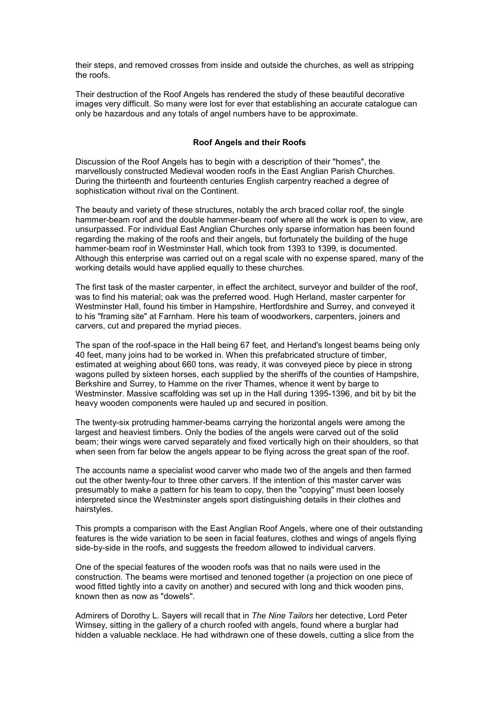their steps, and removed crosses from inside and outside the churches, as well as stripping the roofs.

Their destruction of the Roof Angels has rendered the study of these beautiful decorative images very difficult. So many were lost for ever that establishing an accurate catalogue can only be hazardous and any totals of angel numbers have to be approximate.

# **Roof Angels and their Roofs**

Discussion of the Roof Angels has to begin with a description of their "homes", the marvellously constructed Medieval wooden roofs in the East Anglian Parish Churches. During the thirteenth and fourteenth centuries English carpentry reached a degree of sophistication without rival on the Continent.

The beauty and variety of these structures, notably the arch braced collar roof, the single hammer-beam roof and the double hammer-beam roof where all the work is open to view, are unsurpassed. For individual East Anglian Churches only sparse information has been found regarding the making of the roofs and their angels, but fortunately the building of the huge hammer-beam roof in Westminster Hall, which took from 1393 to 1399, is documented. Although this enterprise was carried out on a regal scale with no expense spared, many of the working details would have applied equally to these churches.

The first task of the master carpenter, in effect the architect, surveyor and builder of the roof, was to find his material; oak was the preferred wood. Hugh Herland, master carpenter for Westminster Hall, found his timber in Hampshire, Hertfordshire and Surrey, and conveyed it to his "framing site" at Farnham. Here his team of woodworkers, carpenters, joiners and carvers, cut and prepared the myriad pieces.

The span of the roof-space in the Hall being 67 feet, and Herland's longest beams being only 40 feet, many joins had to be worked in. When this prefabricated structure of timber, estimated at weighing about 660 tons, was ready, it was conveyed piece by piece in strong wagons pulled by sixteen horses, each supplied by the sheriffs of the counties of Hampshire, Berkshire and Surrey, to Hamme on the river Thames, whence it went by barge to Westminster. Massive scaffolding was set up in the Hall during 1395-1396, and bit by bit the heavy wooden components were hauled up and secured in position.

The twenty-six protruding hammer-beams carrying the horizontal angels were among the largest and heaviest timbers. Only the bodies of the angels were carved out of the solid beam; their wings were carved separately and fixed vertically high on their shoulders, so that when seen from far below the angels appear to be flying across the great span of the roof.

The accounts name a specialist wood carver who made two of the angels and then farmed out the other twenty-four to three other carvers. If the intention of this master carver was presumably to make a pattern for his team to copy, then the "copying" must been loosely interpreted since the Westminster angels sport distinguishing details in their clothes and hairstyles.

This prompts a comparison with the East Anglian Roof Angels, where one of their outstanding features is the wide variation to be seen in facial features, clothes and wings of angels flying side-by-side in the roofs, and suggests the freedom allowed to individual carvers.

One of the special features of the wooden roofs was that no nails were used in the construction. The beams were mortised and tenoned together (a projection on one piece of wood fitted tightly into a cavity on another) and secured with long and thick wooden pins, known then as now as "dowels".

Admirers of Dorothy L. Sayers will recall that in *The Nine Tailors* her detective, Lord Peter Wimsey, sitting in the gallery of a church roofed with angels, found where a burglar had hidden a valuable necklace. He had withdrawn one of these dowels, cutting a slice from the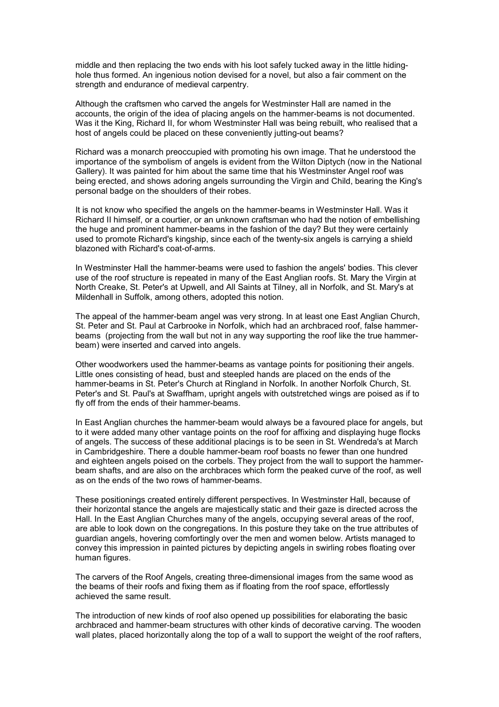middle and then replacing the two ends with his loot safely tucked away in the little hidinghole thus formed. An ingenious notion devised for a novel, but also a fair comment on the strength and endurance of medieval carpentry.

Although the craftsmen who carved the angels for Westminster Hall are named in the accounts, the origin of the idea of placing angels on the hammer-beams is not documented. Was it the King, Richard II, for whom Westminster Hall was being rebuilt, who realised that a host of angels could be placed on these conveniently jutting-out beams?

Richard was a monarch preoccupied with promoting his own image. That he understood the importance of the symbolism of angels is evident from the Wilton Diptych (now in the National Gallery). It was painted for him about the same time that his Westminster Angel roof was being erected, and shows adoring angels surrounding the Virgin and Child, bearing the King's personal badge on the shoulders of their robes.

It is not know who specified the angels on the hammer-beams in Westminster Hall. Was it Richard II himself, or a courtier, or an unknown craftsman who had the notion of embellishing the huge and prominent hammer-beams in the fashion of the day? But they were certainly used to promote Richard's kingship, since each of the twenty-six angels is carrying a shield blazoned with Richard's coat-of-arms.

In Westminster Hall the hammer-beams were used to fashion the angels' bodies. This clever use of the roof structure is repeated in many of the East Anglian roofs. St. Mary the Virgin at North Creake, St. Peter's at Upwell, and All Saints at Tilney, all in Norfolk, and St. Mary's at Mildenhall in Suffolk, among others, adopted this notion.

The appeal of the hammer-beam angel was very strong. In at least one East Anglian Church, St. Peter and St. Paul at Carbrooke in Norfolk, which had an archbraced roof, false hammerbeams (projecting from the wall but not in any way supporting the roof like the true hammerbeam) were inserted and carved into angels.

Other woodworkers used the hammer-beams as vantage points for positioning their angels. Little ones consisting of head, bust and steepled hands are placed on the ends of the hammer-beams in St. Peter's Church at Ringland in Norfolk. In another Norfolk Church, St. Peter's and St. Paul's at Swaffham, upright angels with outstretched wings are poised as if to fly off from the ends of their hammer-beams.

In East Anglian churches the hammer-beam would always be a favoured place for angels, but to it were added many other vantage points on the roof for affixing and displaying huge flocks of angels. The success of these additional placings is to be seen in St. Wendreda's at March in Cambridgeshire. There a double hammer-beam roof boasts no fewer than one hundred and eighteen angels poised on the corbels. They project from the wall to support the hammerbeam shafts, and are also on the archbraces which form the peaked curve of the roof, as well as on the ends of the two rows of hammer-beams.

These positionings created entirely different perspectives. In Westminster Hall, because of their horizontal stance the angels are majestically static and their gaze is directed across the Hall. In the East Anglian Churches many of the angels, occupying several areas of the roof, are able to look down on the congregations. In this posture they take on the true attributes of guardian angels, hovering comfortingly over the men and women below. Artists managed to convey this impression in painted pictures by depicting angels in swirling robes floating over human figures.

The carvers of the Roof Angels, creating three-dimensional images from the same wood as the beams of their roofs and fixing them as if floating from the roof space, effortlessly achieved the same result.

The introduction of new kinds of roof also opened up possibilities for elaborating the basic archbraced and hammer-beam structures with other kinds of decorative carving. The wooden wall plates, placed horizontally along the top of a wall to support the weight of the roof rafters,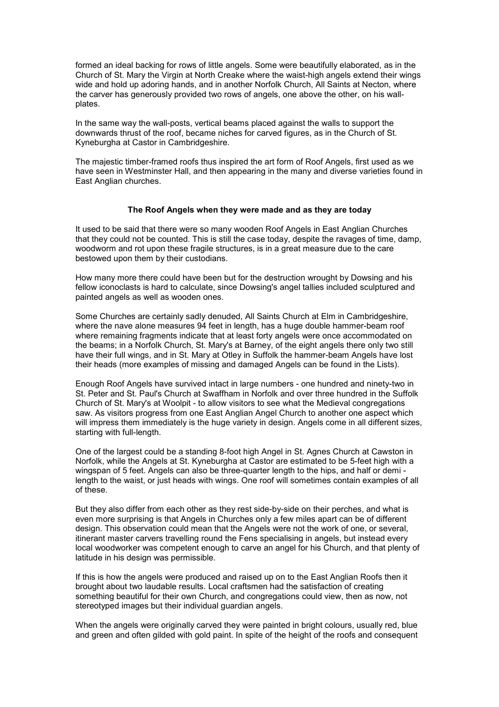formed an ideal backing for rows of little angels. Some were beautifully elaborated, as in the Church of St. Mary the Virgin at North Creake where the waist-high angels extend their wings wide and hold up adoring hands, and in another Norfolk Church, All Saints at Necton, where the carver has generously provided two rows of angels, one above the other, on his wallplates.

In the same way the wall-posts, vertical beams placed against the walls to support the downwards thrust of the roof, became niches for carved figures, as in the Church of St. Kyneburgha at Castor in Cambridgeshire.

The majestic timber-framed roofs thus inspired the art form of Roof Angels, first used as we have seen in Westminster Hall, and then appearing in the many and diverse varieties found in East Anglian churches.

#### **The Roof Angels when they were made and as they are today**

It used to be said that there were so many wooden Roof Angels in East Anglian Churches that they could not be counted. This is still the case today, despite the ravages of time, damp, woodworm and rot upon these fragile structures, is in a great measure due to the care bestowed upon them by their custodians.

How many more there could have been but for the destruction wrought by Dowsing and his fellow iconoclasts is hard to calculate, since Dowsing's angel tallies included sculptured and painted angels as well as wooden ones.

Some Churches are certainly sadly denuded, All Saints Church at Elm in Cambridgeshire, where the nave alone measures 94 feet in length, has a huge double hammer-beam roof where remaining fragments indicate that at least forty angels were once accommodated on the beams; in a Norfolk Church, St. Mary's at Barney, of the eight angels there only two still have their full wings, and in St. Mary at Otley in Suffolk the hammer-beam Angels have lost their heads (more examples of missing and damaged Angels can be found in the Lists).

Enough Roof Angels have survived intact in large numbers - one hundred and ninety-two in St. Peter and St. Paul's Church at Swaffham in Norfolk and over three hundred in the Suffolk Church of St. Mary's at Woolpit - to allow visitors to see what the Medieval congregations saw. As visitors progress from one East Anglian Angel Church to another one aspect which will impress them immediately is the huge variety in design. Angels come in all different sizes, starting with full-length.

One of the largest could be a standing 8-foot high Angel in St. Agnes Church at Cawston in Norfolk, while the Angels at St. Kyneburgha at Castor are estimated to be 5-feet high with a wingspan of 5 feet. Angels can also be three-quarter length to the hips, and half or demi length to the waist, or just heads with wings. One roof will sometimes contain examples of all of these.

But they also differ from each other as they rest side-by-side on their perches, and what is even more surprising is that Angels in Churches only a few miles apart can be of different design. This observation could mean that the Angels were not the work of one, or several, itinerant master carvers travelling round the Fens specialising in angels, but instead every local woodworker was competent enough to carve an angel for his Church, and that plenty of latitude in his design was permissible.

If this is how the angels were produced and raised up on to the East Anglian Roofs then it brought about two laudable results. Local craftsmen had the satisfaction of creating something beautiful for their own Church, and congregations could view, then as now, not stereotyped images but their individual guardian angels.

When the angels were originally carved they were painted in bright colours, usually red, blue and green and often gilded with gold paint. In spite of the height of the roofs and consequent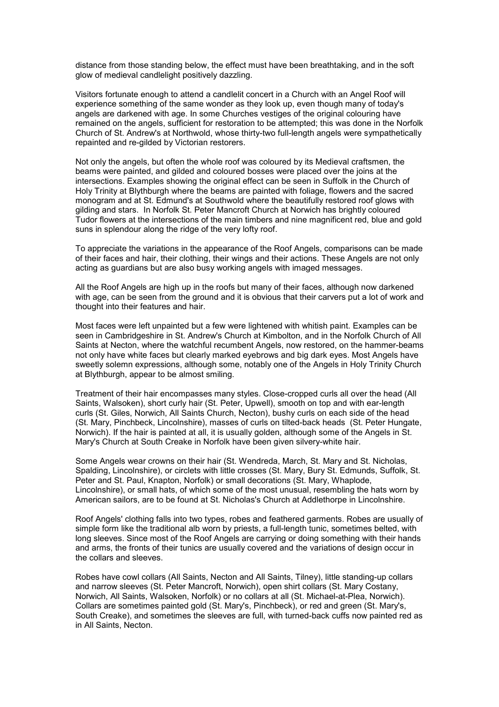distance from those standing below, the effect must have been breathtaking, and in the soft glow of medieval candlelight positively dazzling.

Visitors fortunate enough to attend a candlelit concert in a Church with an Angel Roof will experience something of the same wonder as they look up, even though many of today's angels are darkened with age. In some Churches vestiges of the original colouring have remained on the angels, sufficient for restoration to be attempted; this was done in the Norfolk Church of St. Andrew's at Northwold, whose thirty-two full-length angels were sympathetically repainted and re-gilded by Victorian restorers.

Not only the angels, but often the whole roof was coloured by its Medieval craftsmen, the beams were painted, and gilded and coloured bosses were placed over the joins at the intersections. Examples showing the original effect can be seen in Suffolk in the Church of Holy Trinity at Blythburgh where the beams are painted with foliage, flowers and the sacred monogram and at St. Edmund's at Southwold where the beautifully restored roof glows with gilding and stars. In Norfolk St. Peter Mancroft Church at Norwich has brightly coloured Tudor flowers at the intersections of the main timbers and nine magnificent red, blue and gold suns in splendour along the ridge of the very lofty roof.

To appreciate the variations in the appearance of the Roof Angels, comparisons can be made of their faces and hair, their clothing, their wings and their actions. These Angels are not only acting as guardians but are also busy working angels with imaged messages.

All the Roof Angels are high up in the roofs but many of their faces, although now darkened with age, can be seen from the ground and it is obvious that their carvers put a lot of work and thought into their features and hair.

Most faces were left unpainted but a few were lightened with whitish paint. Examples can be seen in Cambridgeshire in St. Andrew's Church at Kimbolton, and in the Norfolk Church of All Saints at Necton, where the watchful recumbent Angels, now restored, on the hammer-beams not only have white faces but clearly marked eyebrows and big dark eyes. Most Angels have sweetly solemn expressions, although some, notably one of the Angels in Holy Trinity Church at Blythburgh, appear to be almost smiling.

Treatment of their hair encompasses many styles. Close-cropped curls all over the head (All Saints, Walsoken), short curly hair (St. Peter, Upwell), smooth on top and with ear-length curls (St. Giles, Norwich, All Saints Church, Necton), bushy curls on each side of the head (St. Mary, Pinchbeck, Lincolnshire), masses of curls on tilted-back heads (St. Peter Hungate, Norwich). If the hair is painted at all, it is usually golden, although some of the Angels in St. Mary's Church at South Creake in Norfolk have been given silvery-white hair.

Some Angels wear crowns on their hair (St. Wendreda, March, St. Mary and St. Nicholas, Spalding, Lincolnshire), or circlets with little crosses (St. Mary, Bury St. Edmunds, Suffolk, St. Peter and St. Paul, Knapton, Norfolk) or small decorations (St. Mary, Whaplode, Lincolnshire), or small hats, of which some of the most unusual, resembling the hats worn by American sailors, are to be found at St. Nicholas's Church at Addlethorpe in Lincolnshire.

Roof Angels' clothing falls into two types, robes and feathered garments. Robes are usually of simple form like the traditional alb worn by priests, a full-length tunic, sometimes belted, with long sleeves. Since most of the Roof Angels are carrying or doing something with their hands and arms, the fronts of their tunics are usually covered and the variations of design occur in the collars and sleeves.

Robes have cowl collars (All Saints, Necton and All Saints, Tilney), little standing-up collars and narrow sleeves (St. Peter Mancroft, Norwich), open shirt collars (St. Mary Costany, Norwich, All Saints, Walsoken, Norfolk) or no collars at all (St. Michael-at-Plea, Norwich). Collars are sometimes painted gold (St. Mary's, Pinchbeck), or red and green (St. Mary's, South Creake), and sometimes the sleeves are full, with turned-back cuffs now painted red as in All Saints, Necton.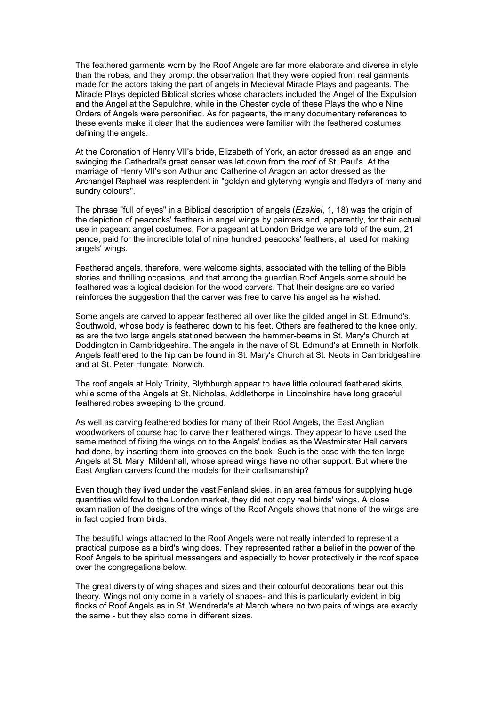The feathered garments worn by the Roof Angels are far more elaborate and diverse in style than the robes, and they prompt the observation that they were copied from real garments made for the actors taking the part of angels in Medieval Miracle Plays and pageants. The Miracle Plays depicted Biblical stories whose characters included the Angel of the Expulsion and the Angel at the Sepulchre, while in the Chester cycle of these Plays the whole Nine Orders of Angels were personified. As for pageants, the many documentary references to these events make it clear that the audiences were familiar with the feathered costumes defining the angels.

At the Coronation of Henry VII's bride, Elizabeth of York, an actor dressed as an angel and swinging the Cathedral's great censer was let down from the roof of St. Paul's. At the marriage of Henry VII's son Arthur and Catherine of Aragon an actor dressed as the Archangel Raphael was resplendent in "goldyn and glyteryng wyngis and ffedyrs of many and sundry colours".

The phrase "full of eyes" in a Biblical description of angels (*Ezekiel*, 1, 18) was the origin of the depiction of peacocks' feathers in angel wings by painters and, apparently, for their actual use in pageant angel costumes. For a pageant at London Bridge we are told of the sum, 21 pence, paid for the incredible total of nine hundred peacocks' feathers, all used for making angels' wings.

Feathered angels, therefore, were welcome sights, associated with the telling of the Bible stories and thrilling occasions, and that among the guardian Roof Angels some should be feathered was a logical decision for the wood carvers. That their designs are so varied reinforces the suggestion that the carver was free to carve his angel as he wished.

Some angels are carved to appear feathered all over like the gilded angel in St. Edmund's, Southwold, whose body is feathered down to his feet. Others are feathered to the knee only, as are the two large angels stationed between the hammer-beams in St. Mary's Church at Doddington in Cambridgeshire. The angels in the nave of St. Edmund's at Emneth in Norfolk. Angels feathered to the hip can be found in St. Mary's Church at St. Neots in Cambridgeshire and at St. Peter Hungate, Norwich.

The roof angels at Holy Trinity, Blythburgh appear to have little coloured feathered skirts, while some of the Angels at St. Nicholas, Addlethorpe in Lincolnshire have long graceful feathered robes sweeping to the ground.

As well as carving feathered bodies for many of their Roof Angels, the East Anglian woodworkers of course had to carve their feathered wings. They appear to have used the same method of fixing the wings on to the Angels' bodies as the Westminster Hall carvers had done, by inserting them into grooves on the back. Such is the case with the ten large Angels at St. Mary, Mildenhall, whose spread wings have no other support. But where the East Anglian carvers found the models for their craftsmanship?

Even though they lived under the vast Fenland skies, in an area famous for supplying huge quantities wild fowl to the London market, they did not copy real birds' wings. A close examination of the designs of the wings of the Roof Angels shows that none of the wings are in fact copied from birds.

The beautiful wings attached to the Roof Angels were not really intended to represent a practical purpose as a bird's wing does. They represented rather a belief in the power of the Roof Angels to be spiritual messengers and especially to hover protectively in the roof space over the congregations below.

The great diversity of wing shapes and sizes and their colourful decorations bear out this theory. Wings not only come in a variety of shapes- and this is particularly evident in big flocks of Roof Angels as in St. Wendreda's at March where no two pairs of wings are exactly the same - but they also come in different sizes.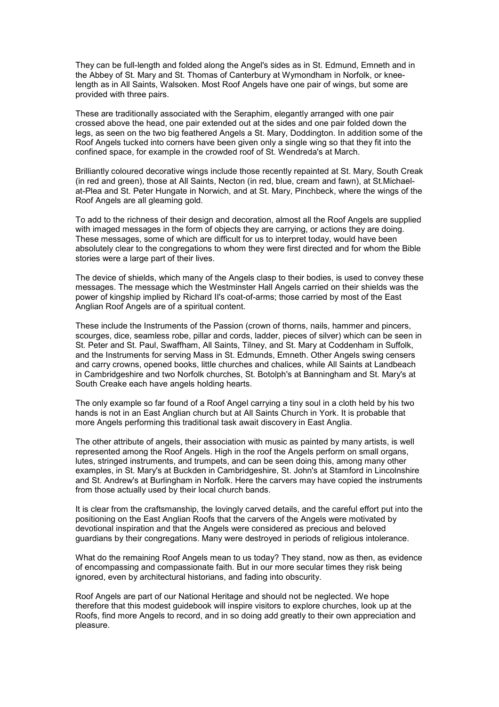They can be full-length and folded along the Angel's sides as in St. Edmund, Emneth and in the Abbey of St. Mary and St. Thomas of Canterbury at Wymondham in Norfolk, or kneelength as in All Saints, Walsoken. Most Roof Angels have one pair of wings, but some are provided with three pairs.

These are traditionally associated with the Seraphim, elegantly arranged with one pair crossed above the head, one pair extended out at the sides and one pair folded down the legs, as seen on the two big feathered Angels a St. Mary, Doddington. In addition some of the Roof Angels tucked into corners have been given only a single wing so that they fit into the confined space, for example in the crowded roof of St. Wendreda's at March.

Brilliantly coloured decorative wings include those recently repainted at St. Mary, South Creak (in red and green), those at All Saints, Necton (in red, blue, cream and fawn), at St.Michaelat-Plea and St. Peter Hungate in Norwich, and at St. Mary, Pinchbeck, where the wings of the Roof Angels are all gleaming gold.

To add to the richness of their design and decoration, almost all the Roof Angels are supplied with imaged messages in the form of objects they are carrying, or actions they are doing. These messages, some of which are difficult for us to interpret today, would have been absolutely clear to the congregations to whom they were first directed and for whom the Bible stories were a large part of their lives.

The device of shields, which many of the Angels clasp to their bodies, is used to convey these messages. The message which the Westminster Hall Angels carried on their shields was the power of kingship implied by Richard II's coat-of-arms; those carried by most of the East Anglian Roof Angels are of a spiritual content.

These include the Instruments of the Passion (crown of thorns, nails, hammer and pincers, scourges, dice, seamless robe, pillar and cords, ladder, pieces of silver) which can be seen in St. Peter and St. Paul, Swaffham, All Saints, Tilney, and St. Mary at Coddenham in Suffolk, and the Instruments for serving Mass in St. Edmunds, Emneth. Other Angels swing censers and carry crowns, opened books, little churches and chalices, while All Saints at Landbeach in Cambridgeshire and two Norfolk churches, St. Botolph's at Banningham and St. Mary's at South Creake each have angels holding hearts.

The only example so far found of a Roof Angel carrying a tiny soul in a cloth held by his two hands is not in an East Anglian church but at All Saints Church in York. It is probable that more Angels performing this traditional task await discovery in East Anglia.

The other attribute of angels, their association with music as painted by many artists, is well represented among the Roof Angels. High in the roof the Angels perform on small organs, lutes, stringed instruments, and trumpets, and can be seen doing this, among many other examples, in St. Mary's at Buckden in Cambridgeshire, St. John's at Stamford in Lincolnshire and St. Andrew's at Burlingham in Norfolk. Here the carvers may have copied the instruments from those actually used by their local church bands.

It is clear from the craftsmanship, the lovingly carved details, and the careful effort put into the positioning on the East Anglian Roofs that the carvers of the Angels were motivated by devotional inspiration and that the Angels were considered as precious and beloved guardians by their congregations. Many were destroyed in periods of religious intolerance.

What do the remaining Roof Angels mean to us today? They stand, now as then, as evidence of encompassing and compassionate faith. But in our more secular times they risk being ignored, even by architectural historians, and fading into obscurity.

Roof Angels are part of our National Heritage and should not be neglected. We hope therefore that this modest guidebook will inspire visitors to explore churches, look up at the Roofs, find more Angels to record, and in so doing add greatly to their own appreciation and pleasure.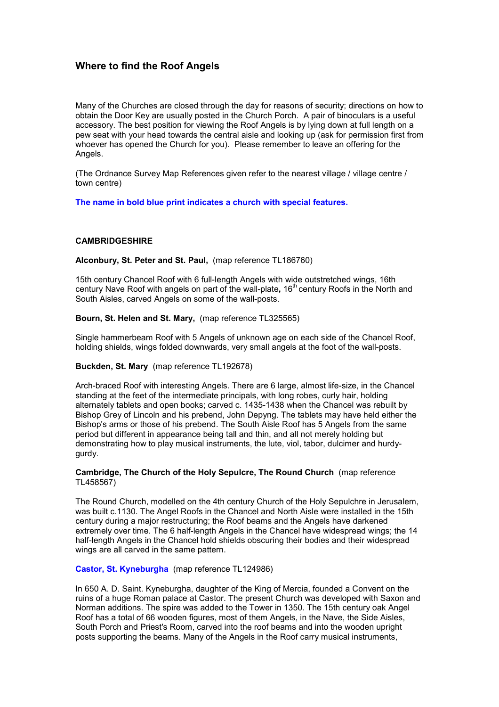# **Where to find the Roof Angels**

Many of the Churches are closed through the day for reasons of security; directions on how to obtain the Door Key are usually posted in the Church Porch. A pair of binoculars is a useful accessory. The best position for viewing the Roof Angels is by lying down at full length on a pew seat with your head towards the central aisle and looking up (ask for permission first from whoever has opened the Church for you). Please remember to leave an offering for the Angels.

(The Ordnance Survey Map References given refer to the nearest village / village centre / town centre)

**The name in bold blue print indicates a church with special features.**

# **CAMBRIDGESHIRE**

**Alconbury, St. Peter and St. Paul,** (map reference TL186760)

15th century Chancel Roof with 6 full-length Angels with wide outstretched wings, 16th century Nave Roof with angels on part of the wall-plate, 16<sup>th</sup> century Roofs in the North and South Aisles, carved Angels on some of the wall-posts.

**Bourn, St. Helen and St. Mary,** (map reference TL325565)

Single hammerbeam Roof with 5 Angels of unknown age on each side of the Chancel Roof, holding shields, wings folded downwards, very small angels at the foot of the wall-posts.

## **Buckden, St. Mary** (map reference TL192678)

Arch-braced Roof with interesting Angels. There are 6 large, almost life-size, in the Chancel standing at the feet of the intermediate principals, with long robes, curly hair, holding alternately tablets and open books; carved c. 1435-1438 when the Chancel was rebuilt by Bishop Grey of Lincoln and his prebend, John Depyng. The tablets may have held either the Bishop's arms or those of his prebend. The South Aisle Roof has 5 Angels from the same period but different in appearance being tall and thin, and all not merely holding but demonstrating how to play musical instruments, the lute, viol, tabor, dulcimer and hurdygurdy.

# **Cambridge, The Church of the Holy Sepulcre, The Round Church** (map reference TL458567)

The Round Church, modelled on the 4th century Church of the Holy Sepulchre in Jerusalem, was built c.1130. The Angel Roofs in the Chancel and North Aisle were installed in the 15th century during a major restructuring; the Roof beams and the Angels have darkened extremely over time. The 6 half-length Angels in the Chancel have widespread wings; the 14 half-length Angels in the Chancel hold shields obscuring their bodies and their widespread wings are all carved in the same pattern.

## **Castor, St. Kyneburgha** (map reference TL124986)

In 650 A. D. Saint. Kyneburgha, daughter of the King of Mercia, founded a Convent on the ruins of a huge Roman palace at Castor. The present Church was developed with Saxon and Norman additions. The spire was added to the Tower in 1350. The 15th century oak Angel Roof has a total of 66 wooden figures, most of them Angels, in the Nave, the Side Aisles, South Porch and Priest's Room, carved into the roof beams and into the wooden upright posts supporting the beams. Many of the Angels in the Roof carry musical instruments,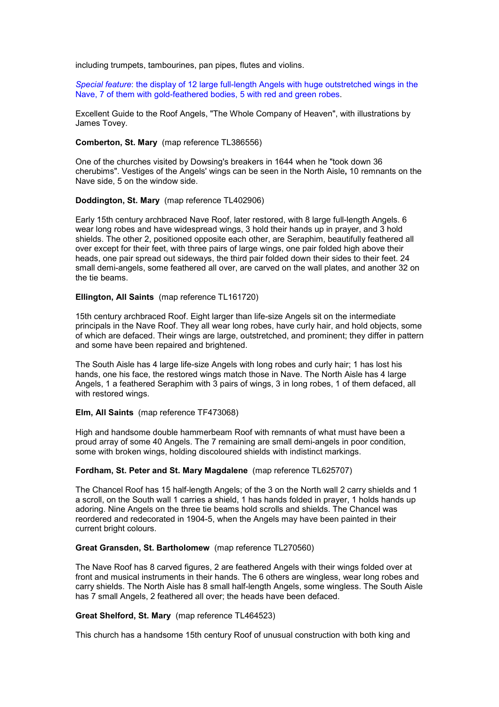including trumpets, tambourines, pan pipes, flutes and violins.

*Special feature*: the display of 12 large full-length Angels with huge outstretched wings in the Nave, 7 of them with gold-feathered bodies, 5 with red and green robes.

Excellent Guide to the Roof Angels, "The Whole Company of Heaven", with illustrations by James Tovey.

# **Comberton, St. Mary** (map reference TL386556)

One of the churches visited by Dowsing's breakers in 1644 when he "took down 36 cherubims". Vestiges of the Angels' wings can be seen in the North Aisle**,** 10 remnants on the Nave side, 5 on the window side.

#### **Doddington, St. Mary** (map reference TL402906)

Early 15th century archbraced Nave Roof, later restored, with 8 large full-length Angels. 6 wear long robes and have widespread wings, 3 hold their hands up in prayer, and 3 hold shields. The other 2, positioned opposite each other, are Seraphim, beautifully feathered all over except for their feet, with three pairs of large wings, one pair folded high above their heads, one pair spread out sideways, the third pair folded down their sides to their feet. 24 small demi-angels, some feathered all over, are carved on the wall plates, and another 32 on the tie beams.

#### **Ellington, All Saints** (map reference TL161720)

15th century archbraced Roof. Eight larger than life-size Angels sit on the intermediate principals in the Nave Roof. They all wear long robes, have curly hair, and hold objects, some of which are defaced. Their wings are large, outstretched, and prominent; they differ in pattern and some have been repaired and brightened.

The South Aisle has 4 large life-size Angels with long robes and curly hair; 1 has lost his hands, one his face, the restored wings match those in Nave. The North Aisle has 4 large Angels, 1 a feathered Seraphim with 3 pairs of wings, 3 in long robes, 1 of them defaced, all with restored wings.

#### **Elm, All Saints** (map reference TF473068)

High and handsome double hammerbeam Roof with remnants of what must have been a proud array of some 40 Angels. The 7 remaining are small demi-angels in poor condition, some with broken wings, holding discoloured shields with indistinct markings.

## **Fordham, St. Peter and St. Mary Magdalene** (map reference TL625707)

The Chancel Roof has 15 half-length Angels; of the 3 on the North wall 2 carry shields and 1 a scroll, on the South wall 1 carries a shield, 1 has hands folded in prayer, 1 holds hands up adoring. Nine Angels on the three tie beams hold scrolls and shields. The Chancel was reordered and redecorated in 1904-5, when the Angels may have been painted in their current bright colours.

# **Great Gransden, St. Bartholomew** (map reference TL270560)

The Nave Roof has 8 carved figures, 2 are feathered Angels with their wings folded over at front and musical instruments in their hands. The 6 others are wingless, wear long robes and carry shields. The North Aisle has 8 small half-length Angels, some wingless. The South Aisle has 7 small Angels, 2 feathered all over; the heads have been defaced.

## **Great Shelford, St. Mary** (map reference TL464523)

This church has a handsome 15th century Roof of unusual construction with both king and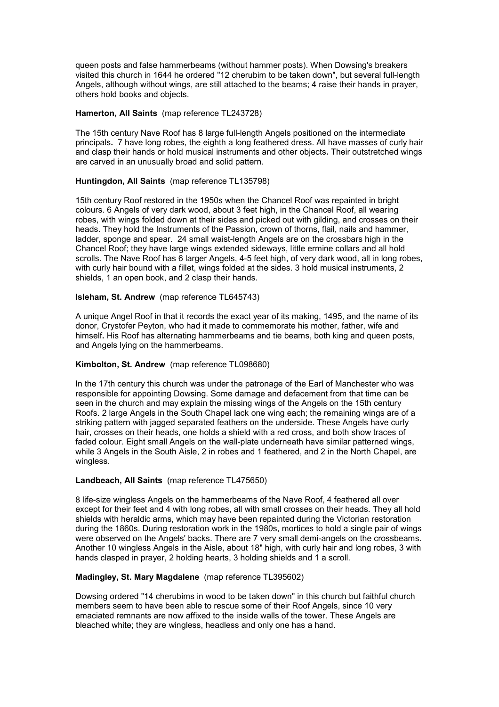queen posts and false hammerbeams (without hammer posts). When Dowsing's breakers visited this church in 1644 he ordered "12 cherubim to be taken down", but several full-length Angels, although without wings, are still attached to the beams; 4 raise their hands in prayer, others hold books and objects.

#### **Hamerton, All Saints** (map reference TL243728)

The 15th century Nave Roof has 8 large full-length Angels positioned on the intermediate principals**.** 7 have long robes, the eighth a long feathered dress. All have masses of curly hair and clasp their hands or hold musical instruments and other objects**.** Their outstretched wings are carved in an unusually broad and solid pattern.

#### **Huntingdon, All Saints** (map reference TL135798)

15th century Roof restored in the 1950s when the Chancel Roof was repainted in bright colours. 6 Angels of very dark wood, about 3 feet high, in the Chancel Roof, all wearing robes, with wings folded down at their sides and picked out with gilding, and crosses on their heads. They hold the Instruments of the Passion, crown of thorns, flail, nails and hammer, ladder, sponge and spear. 24 small waist-length Angels are on the crossbars high in the Chancel Roof; they have large wings extended sideways, little ermine collars and all hold scrolls. The Nave Roof has 6 larger Angels, 4-5 feet high, of very dark wood, all in long robes, with curly hair bound with a fillet, wings folded at the sides. 3 hold musical instruments, 2 shields, 1 an open book, and 2 clasp their hands.

#### **Isleham, St. Andrew** (map reference TL645743)

A unique Angel Roof in that it records the exact year of its making, 1495, and the name of its donor, Crystofer Peyton, who had it made to commemorate his mother, father, wife and himself**.** His Roof has alternating hammerbeams and tie beams, both king and queen posts, and Angels lying on the hammerbeams.

# **Kimbolton, St. Andrew** (map reference TL098680)

In the 17th century this church was under the patronage of the Earl of Manchester who was responsible for appointing Dowsing. Some damage and defacement from that time can be seen in the church and may explain the missing wings of the Angels on the 15th century Roofs. 2 large Angels in the South Chapel lack one wing each; the remaining wings are of a striking pattern with jagged separated feathers on the underside. These Angels have curly hair, crosses on their heads, one holds a shield with a red cross, and both show traces of faded colour. Eight small Angels on the wall-plate underneath have similar patterned wings, while 3 Angels in the South Aisle, 2 in robes and 1 feathered, and 2 in the North Chapel, are wingless.

## **Landbeach, All Saints** (map reference TL475650)

8 life-size wingless Angels on the hammerbeams of the Nave Roof, 4 feathered all over except for their feet and 4 with long robes, all with small crosses on their heads. They all hold shields with heraldic arms, which may have been repainted during the Victorian restoration during the 1860s. During restoration work in the 1980s, mortices to hold a single pair of wings were observed on the Angels' backs. There are 7 very small demi-angels on the crossbeams. Another 10 wingless Angels in the Aisle, about 18" high, with curly hair and long robes, 3 with hands clasped in prayer, 2 holding hearts, 3 holding shields and 1 a scroll.

## **Madingley, St. Mary Magdalene** (map reference TL395602)

Dowsing ordered "14 cherubims in wood to be taken down" in this church but faithful church members seem to have been able to rescue some of their Roof Angels, since 10 very emaciated remnants are now affixed to the inside walls of the tower. These Angels are bleached white; they are wingless, headless and only one has a hand.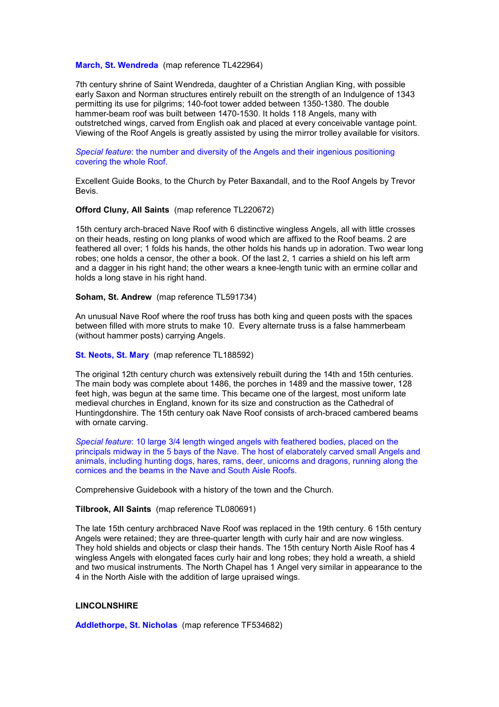#### **March, St. Wendreda** (map reference TL422964)

7th century shrine of Saint Wendreda, daughter of a Christian Anglian King, with possible early Saxon and Norman structures entirely rebuilt on the strength of an Indulgence of 1343 permitting its use for pilgrims; 140-foot tower added between 1350-1380. The double hammer-beam roof was built between 1470-1530. It holds 118 Angels, many with outstretched wings, carved from English oak and placed at every conceivable vantage point. Viewing of the Roof Angels is greatly assisted by using the mirror trolley available for visitors.

*Special feature*: the number and diversity of the Angels and their ingenious positioning covering the whole Roof.

Excellent Guide Books, to the Church by Peter Baxandall, and to the Roof Angels by Trevor Bevis.

#### **Offord Cluny, All Saints** (map reference TL220672)

15th century arch-braced Nave Roof with 6 distinctive wingless Angels, all with little crosses on their heads, resting on long planks of wood which are affixed to the Roof beams. 2 are feathered all over; 1 folds his hands, the other holds his hands up in adoration. Two wear long robes; one holds a censor, the other a book. Of the last 2, 1 carries a shield on his left arm and a dagger in his right hand; the other wears a knee-length tunic with an ermine collar and holds a long stave in his right hand.

#### **Soham, St. Andrew** (map reference TL591734)

An unusual Nave Roof where the roof truss has both king and queen posts with the spaces between filled with more struts to make 10. Every alternate truss is a false hammerbeam (without hammer posts) carrying Angels.

#### **St. Neots, St. Mary** (map reference TL188592)

The original 12th century church was extensively rebuilt during the 14th and 15th centuries. The main body was complete about 1486, the porches in 1489 and the massive tower, 128 feet high, was begun at the same time. This became one of the largest, most uniform late medieval churches in England, known for its size and construction as the Cathedral of Huntingdonshire. The 15th century oak Nave Roof consists of arch-braced cambered beams with ornate carving.

*Special feature*: 10 large 3/4 length winged angels with feathered bodies, placed on the principals midway in the 5 bays of the Nave. The host of elaborately carved small Angels and animals, including hunting dogs, hares, rams, deer, unicorns and dragons, running along the cornices and the beams in the Nave and South Aisle Roofs.

Comprehensive Guidebook with a history of the town and the Church.

#### **Tilbrook, All Saints** (map reference TL080691)

The late 15th century archbraced Nave Roof was replaced in the 19th century. 6 15th century Angels were retained; they are three-quarter length with curly hair and are now wingless. They hold shields and objects or clasp their hands. The 15th century North Aisle Roof has 4 wingless Angels with elongated faces curly hair and long robes; they hold a wreath, a shield and two musical instruments. The North Chapel has 1 Angel very similar in appearance to the 4 in the North Aisle with the addition of large upraised wings.

#### **LINCOLNSHIRE**

**Addlethorpe, St. Nicholas** (map reference TF534682)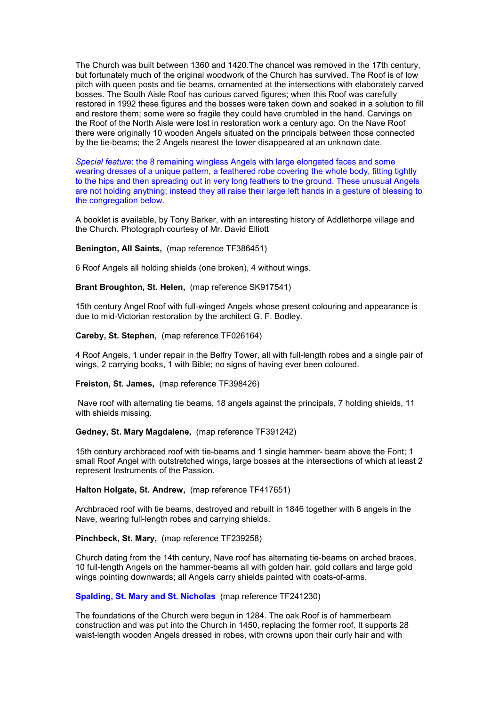The Church was built between 1360 and 1420.The chancel was removed in the 17th century, but fortunately much of the original woodwork of the Church has survived. The Roof is of low pitch with queen posts and tie beams, ornamented at the intersections with elaborately carved bosses. The South Aisle Roof has curious carved figures; when this Roof was carefully restored in 1992 these figures and the bosses were taken down and soaked in a solution to fill and restore them; some were so fragile they could have crumbled in the hand. Carvings on the Roof of the North Aisle were lost in restoration work a century ago. On the Nave Roof there were originally 10 wooden Angels situated on the principals between those connected by the tie-beams; the 2 Angels nearest the tower disappeared at an unknown date.

*Special feature*: the 8 remaining wingless Angels with large elongated faces and some wearing dresses of a unique pattern, a feathered robe covering the whole body, fitting tightly to the hips and then spreading out in very long feathers to the ground. These unusual Angels are not holding anything; instead they all raise their large left hands in a gesture of blessing to the congregation below.

A booklet is available, by Tony Barker, with an interesting history of Addlethorpe village and the Church. Photograph courtesy of Mr. David Elliott

**Benington, All Saints,** (map reference TF386451)

6 Roof Angels all holding shields (one broken), 4 without wings.

**Brant Broughton, St. Helen,** (map reference SK917541)

15th century Angel Roof with full-winged Angels whose present colouring and appearance is due to mid-Victorian restoration by the architect G. F. Bodley.

**Careby, St. Stephen,** (map reference TF026164)

4 Roof Angels, 1 under repair in the Belfry Tower, all with full-length robes and a single pair of wings, 2 carrying books, 1 with Bible; no signs of having ever been coloured.

**Freiston, St. James,** (map reference TF398426)

 Nave roof with alternating tie beams, 18 angels against the principals, 7 holding shields, 11 with shields missing.

#### **Gedney, St. Mary Magdalene,** (map reference TF391242)

15th century archbraced roof with tie-beams and 1 single hammer- beam above the Font; 1 small Roof Angel with outstretched wings, large bosses at the intersections of which at least 2 represent Instruments of the Passion.

#### **Halton Holgate, St. Andrew,** (map reference TF417651)

Archbraced roof with tie beams, destroyed and rebuilt in 1846 together with 8 angels in the Nave, wearing full-length robes and carrying shields.

#### **Pinchbeck, St. Mary,** (map reference TF239258)

Church dating from the 14th century, Nave roof has alternating tie-beams on arched braces, 10 full-length Angels on the hammer-beams all with golden hair, gold collars and large gold wings pointing downwards; all Angels carry shields painted with coats-of-arms.

## **Spalding, St. Mary and St. Nicholas** (map reference TF241230)

The foundations of the Church were begun in 1284. The oak Roof is of hammerbeam construction and was put into the Church in 1450, replacing the former roof. It supports 28 waist-length wooden Angels dressed in robes, with crowns upon their curly hair and with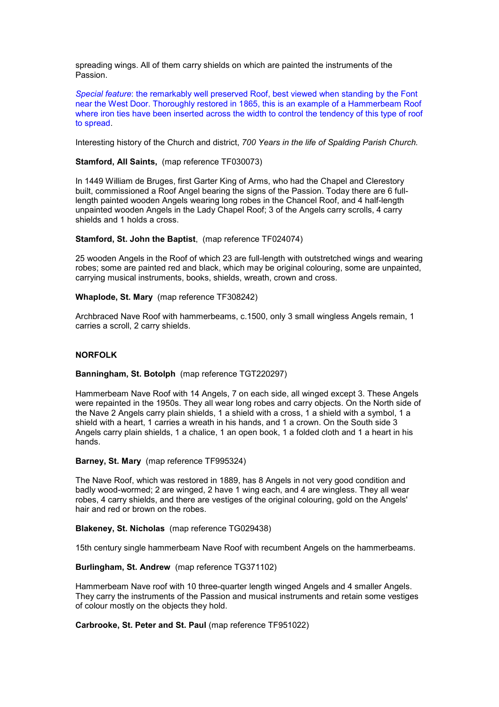spreading wings. All of them carry shields on which are painted the instruments of the Passion.

*Special feature*: the remarkably well preserved Roof, best viewed when standing by the Font near the West Door. Thoroughly restored in 1865, this is an example of a Hammerbeam Roof where iron ties have been inserted across the width to control the tendency of this type of roof to spread.

Interesting history of the Church and district, *700 Years in the life of Spalding Parish Church.*

# **Stamford, All Saints,** (map reference TF030073)

In 1449 William de Bruges, first Garter King of Arms, who had the Chapel and Clerestory built, commissioned a Roof Angel bearing the signs of the Passion. Today there are 6 fulllength painted wooden Angels wearing long robes in the Chancel Roof, and 4 half-length unpainted wooden Angels in the Lady Chapel Roof; 3 of the Angels carry scrolls, 4 carry shields and 1 holds a cross.

#### **Stamford, St. John the Baptist**, (map reference TF024074)

25 wooden Angels in the Roof of which 23 are full-length with outstretched wings and wearing robes; some are painted red and black, which may be original colouring, some are unpainted, carrying musical instruments, books, shields, wreath, crown and cross.

**Whaplode, St. Mary** (map reference TF308242)

Archbraced Nave Roof with hammerbeams, c.1500, only 3 small wingless Angels remain, 1 carries a scroll, 2 carry shields.

# **NORFOLK**

#### **Banningham, St. Botolph** (map reference TGT220297)

Hammerbeam Nave Roof with 14 Angels, 7 on each side, all winged except 3. These Angels were repainted in the 1950s. They all wear long robes and carry objects. On the North side of the Nave 2 Angels carry plain shields, 1 a shield with a cross, 1 a shield with a symbol, 1 a shield with a heart, 1 carries a wreath in his hands, and 1 a crown. On the South side 3 Angels carry plain shields, 1 a chalice, 1 an open book, 1 a folded cloth and 1 a heart in his hands.

**Barney, St. Mary** (map reference TF995324)

The Nave Roof, which was restored in 1889, has 8 Angels in not very good condition and badly wood-wormed; 2 are winged, 2 have 1 wing each, and 4 are wingless. They all wear robes, 4 carry shields, and there are vestiges of the original colouring, gold on the Angels' hair and red or brown on the robes.

#### **Blakeney, St. Nicholas** (map reference TG029438)

15th century single hammerbeam Nave Roof with recumbent Angels on the hammerbeams.

#### **Burlingham, St. Andrew** (map reference TG371102)

Hammerbeam Nave roof with 10 three-quarter length winged Angels and 4 smaller Angels. They carry the instruments of the Passion and musical instruments and retain some vestiges of colour mostly on the objects they hold.

**Carbrooke, St. Peter and St. Paul** (map reference TF951022)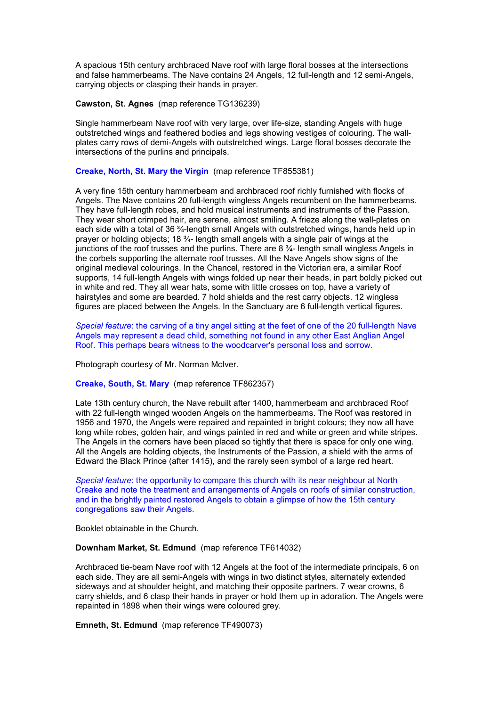A spacious 15th century archbraced Nave roof with large floral bosses at the intersections and false hammerbeams. The Nave contains 24 Angels, 12 full-length and 12 semi-Angels, carrying objects or clasping their hands in prayer.

**Cawston, St. Agnes** (map reference TG136239)

Single hammerbeam Nave roof with very large, over life-size, standing Angels with huge outstretched wings and feathered bodies and legs showing vestiges of colouring. The wallplates carry rows of demi-Angels with outstretched wings. Large floral bosses decorate the intersections of the purlins and principals.

# **Creake, North, St. Mary the Virgin** (map reference TF855381)

A very fine 15th century hammerbeam and archbraced roof richly furnished with flocks of Angels. The Nave contains 20 full-length wingless Angels recumbent on the hammerbeams. They have full-length robes, and hold musical instruments and instruments of the Passion. They wear short crimped hair, are serene, almost smiling. A frieze along the wall-plates on each side with a total of 36 ¾-length small Angels with outstretched wings, hands held up in prayer or holding objects; 18 ¾- length small angels with a single pair of wings at the junctions of the roof trusses and the purlins. There are 8 ¾- length small wingless Angels in the corbels supporting the alternate roof trusses. All the Nave Angels show signs of the original medieval colourings. In the Chancel, restored in the Victorian era, a similar Roof supports, 14 full-length Angels with wings folded up near their heads, in part boldly picked out in white and red. They all wear hats, some with little crosses on top, have a variety of hairstyles and some are bearded. 7 hold shields and the rest carry objects. 12 wingless figures are placed between the Angels. In the Sanctuary are 6 full-length vertical figures.

*Special feature*: the carving of a tiny angel sitting at the feet of one of the 20 full-length Nave Angels may represent a dead child, something not found in any other East Anglian Angel Roof. This perhaps bears witness to the woodcarver's personal loss and sorrow.

Photograph courtesy of Mr. Norman McIver.

**Creake, South, St. Mary** (map reference TF862357)

Late 13th century church, the Nave rebuilt after 1400, hammerbeam and archbraced Roof with 22 full-length winged wooden Angels on the hammerbeams. The Roof was restored in 1956 and 1970, the Angels were repaired and repainted in bright colours; they now all have long white robes, golden hair, and wings painted in red and white or green and white stripes. The Angels in the corners have been placed so tightly that there is space for only one wing. All the Angels are holding objects, the Instruments of the Passion, a shield with the arms of Edward the Black Prince (after 1415), and the rarely seen symbol of a large red heart.

*Special feature*: the opportunity to compare this church with its near neighbour at North Creake and note the treatment and arrangements of Angels on roofs of similar construction, and in the brightly painted restored Angels to obtain a glimpse of how the 15th century congregations saw their Angels.

Booklet obtainable in the Church.

**Downham Market, St. Edmund** (map reference TF614032)

Archbraced tie-beam Nave roof with 12 Angels at the foot of the intermediate principals, 6 on each side. They are all semi-Angels with wings in two distinct styles, alternately extended sideways and at shoulder height, and matching their opposite partners. 7 wear crowns, 6 carry shields, and 6 clasp their hands in prayer or hold them up in adoration. The Angels were repainted in 1898 when their wings were coloured grey.

**Emneth, St. Edmund** (map reference TF490073)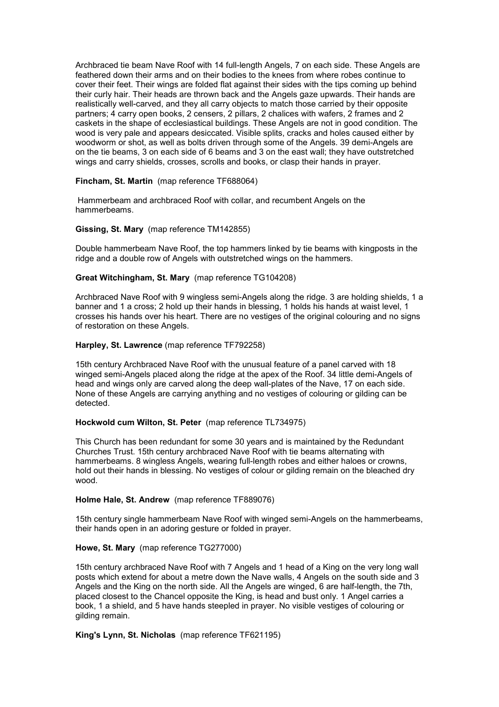Archbraced tie beam Nave Roof with 14 full-length Angels, 7 on each side. These Angels are feathered down their arms and on their bodies to the knees from where robes continue to cover their feet. Their wings are folded flat against their sides with the tips coming up behind their curly hair. Their heads are thrown back and the Angels gaze upwards. Their hands are realistically well-carved, and they all carry objects to match those carried by their opposite partners; 4 carry open books, 2 censers, 2 pillars, 2 chalices with wafers, 2 frames and 2 caskets in the shape of ecclesiastical buildings. These Angels are not in good condition. The wood is very pale and appears desiccated. Visible splits, cracks and holes caused either by woodworm or shot, as well as bolts driven through some of the Angels. 39 demi-Angels are on the tie beams, 3 on each side of 6 beams and 3 on the east wall; they have outstretched wings and carry shields, crosses, scrolls and books, or clasp their hands in prayer.

## **Fincham, St. Martin** (map reference TF688064)

 Hammerbeam and archbraced Roof with collar, and recumbent Angels on the hammerbeams.

# **Gissing, St. Mary** (map reference TM142855)

Double hammerbeam Nave Roof, the top hammers linked by tie beams with kingposts in the ridge and a double row of Angels with outstretched wings on the hammers.

# **Great Witchingham, St. Mary** (map reference TG104208)

Archbraced Nave Roof with 9 wingless semi-Angels along the ridge. 3 are holding shields, 1 a banner and 1 a cross; 2 hold up their hands in blessing, 1 holds his hands at waist level, 1 crosses his hands over his heart. There are no vestiges of the original colouring and no signs of restoration on these Angels.

# **Harpley, St. Lawrence** (map reference TF792258)

15th century Archbraced Nave Roof with the unusual feature of a panel carved with 18 winged semi-Angels placed along the ridge at the apex of the Roof. 34 little demi-Angels of head and wings only are carved along the deep wall-plates of the Nave, 17 on each side. None of these Angels are carrying anything and no vestiges of colouring or gilding can be detected.

## **Hockwold cum Wilton, St. Peter** (map reference TL734975)

This Church has been redundant for some 30 years and is maintained by the Redundant Churches Trust. 15th century archbraced Nave Roof with tie beams alternating with hammerbeams. 8 wingless Angels, wearing full-length robes and either haloes or crowns, hold out their hands in blessing. No vestiges of colour or gilding remain on the bleached dry wood.

## **Holme Hale, St. Andrew** (map reference TF889076)

15th century single hammerbeam Nave Roof with winged semi-Angels on the hammerbeams, their hands open in an adoring gesture or folded in prayer.

# **Howe, St. Mary** (map reference TG277000)

15th century archbraced Nave Roof with 7 Angels and 1 head of a King on the very long wall posts which extend for about a metre down the Nave walls, 4 Angels on the south side and 3 Angels and the King on the north side. All the Angels are winged, 6 are half-length, the 7th, placed closest to the Chancel opposite the King, is head and bust only. 1 Angel carries a book, 1 a shield, and 5 have hands steepled in prayer. No visible vestiges of colouring or gilding remain.

## **King's Lynn, St. Nicholas** (map reference TF621195)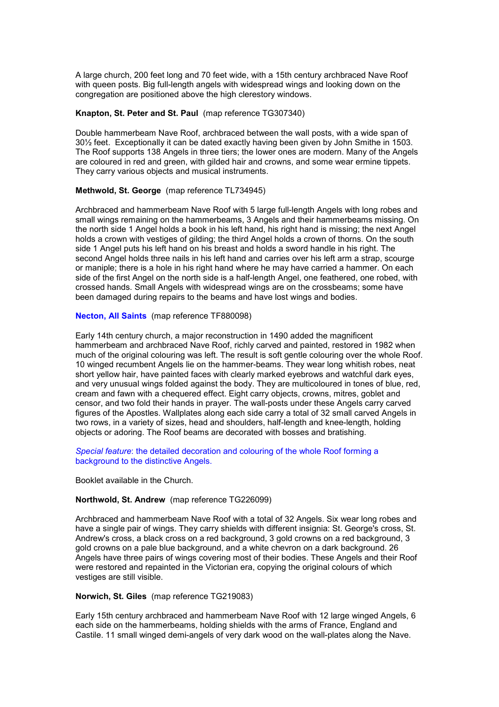A large church, 200 feet long and 70 feet wide, with a 15th century archbraced Nave Roof with queen posts. Big full-length angels with widespread wings and looking down on the congregation are positioned above the high clerestory windows.

#### **Knapton, St. Peter and St. Paul** (map reference TG307340)

Double hammerbeam Nave Roof, archbraced between the wall posts, with a wide span of 30½ feet. Exceptionally it can be dated exactly having been given by John Smithe in 1503. The Roof supports 138 Angels in three tiers; the lower ones are modern. Many of the Angels are coloured in red and green, with gilded hair and crowns, and some wear ermine tippets. They carry various objects and musical instruments.

#### **Methwold, St. George** (map reference TL734945)

Archbraced and hammerbeam Nave Roof with 5 large full-length Angels with long robes and small wings remaining on the hammerbeams, 3 Angels and their hammerbeams missing. On the north side 1 Angel holds a book in his left hand, his right hand is missing; the next Angel holds a crown with vestiges of gilding; the third Angel holds a crown of thorns. On the south side 1 Angel puts his left hand on his breast and holds a sword handle in his right. The second Angel holds three nails in his left hand and carries over his left arm a strap, scourge or maniple; there is a hole in his right hand where he may have carried a hammer. On each side of the first Angel on the north side is a half-length Angel, one feathered, one robed, with crossed hands. Small Angels with widespread wings are on the crossbeams; some have been damaged during repairs to the beams and have lost wings and bodies.

# **Necton, All Saints** (map reference TF880098)

Early 14th century church, a major reconstruction in 1490 added the magnificent hammerbeam and archbraced Nave Roof, richly carved and painted, restored in 1982 when much of the original colouring was left. The result is soft gentle colouring over the whole Roof. 10 winged recumbent Angels lie on the hammer-beams. They wear long whitish robes, neat short yellow hair, have painted faces with clearly marked eyebrows and watchful dark eyes, and very unusual wings folded against the body. They are multicoloured in tones of blue, red, cream and fawn with a chequered effect. Eight carry objects, crowns, mitres, goblet and censor, and two fold their hands in prayer. The wall-posts under these Angels carry carved figures of the Apostles. Wallplates along each side carry a total of 32 small carved Angels in two rows, in a variety of sizes, head and shoulders, half-length and knee-length, holding objects or adoring. The Roof beams are decorated with bosses and bratishing.

*Special feature*: the detailed decoration and colouring of the whole Roof forming a background to the distinctive Angels.

Booklet available in the Church.

#### **Northwold, St. Andrew** (map reference TG226099)

Archbraced and hammerbeam Nave Roof with a total of 32 Angels. Six wear long robes and have a single pair of wings. They carry shields with different insignia: St. George's cross, St. Andrew's cross, a black cross on a red background, 3 gold crowns on a red background, 3 gold crowns on a pale blue background, and a white chevron on a dark background. 26 Angels have three pairs of wings covering most of their bodies. These Angels and their Roof were restored and repainted in the Victorian era, copying the original colours of which vestiges are still visible.

#### **Norwich, St. Giles** (map reference TG219083)

Early 15th century archbraced and hammerbeam Nave Roof with 12 large winged Angels, 6 each side on the hammerbeams, holding shields with the arms of France, England and Castile. 11 small winged demi-angels of very dark wood on the wall-plates along the Nave.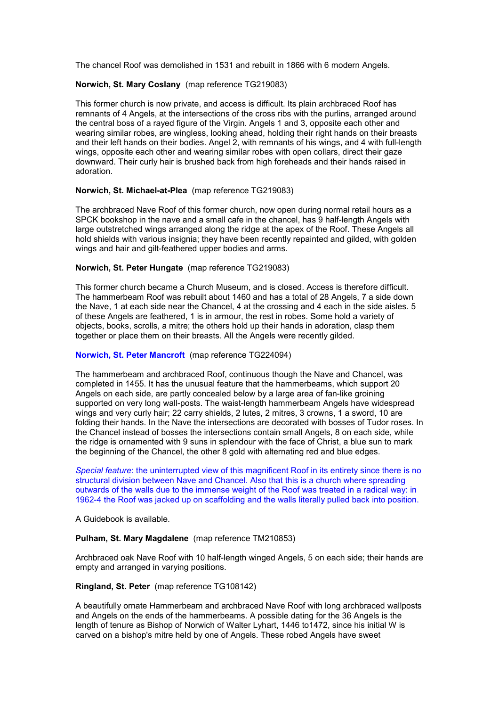The chancel Roof was demolished in 1531 and rebuilt in 1866 with 6 modern Angels.

# **Norwich, St. Mary Coslany** (map reference TG219083)

This former church is now private, and access is difficult. Its plain archbraced Roof has remnants of 4 Angels, at the intersections of the cross ribs with the purlins, arranged around the central boss of a rayed figure of the Virgin. Angels 1 and 3, opposite each other and wearing similar robes, are wingless, looking ahead, holding their right hands on their breasts and their left hands on their bodies. Angel 2, with remnants of his wings, and 4 with full-length wings, opposite each other and wearing similar robes with open collars, direct their gaze downward. Their curly hair is brushed back from high foreheads and their hands raised in adoration.

## **Norwich, St. Michael-at-Plea** (map reference TG219083)

The archbraced Nave Roof of this former church, now open during normal retail hours as a SPCK bookshop in the nave and a small cafe in the chancel, has 9 half-length Angels with large outstretched wings arranged along the ridge at the apex of the Roof. These Angels all hold shields with various insignia; they have been recently repainted and gilded, with golden wings and hair and gilt-feathered upper bodies and arms.

## **Norwich, St. Peter Hungate** (map reference TG219083)

This former church became a Church Museum, and is closed. Access is therefore difficult. The hammerbeam Roof was rebuilt about 1460 and has a total of 28 Angels, 7 a side down the Nave, 1 at each side near the Chancel, 4 at the crossing and 4 each in the side aisles. 5 of these Angels are feathered, 1 is in armour, the rest in robes. Some hold a variety of objects, books, scrolls, a mitre; the others hold up their hands in adoration, clasp them together or place them on their breasts. All the Angels were recently gilded.

# **Norwich, St. Peter Mancroft** (map reference TG224094)

The hammerbeam and archbraced Roof, continuous though the Nave and Chancel, was completed in 1455. It has the unusual feature that the hammerbeams, which support 20 Angels on each side, are partly concealed below by a large area of fan-like groining supported on very long wall-posts. The waist-length hammerbeam Angels have widespread wings and very curly hair; 22 carry shields, 2 lutes, 2 mitres, 3 crowns, 1 a sword, 10 are folding their hands. In the Nave the intersections are decorated with bosses of Tudor roses. In the Chancel instead of bosses the intersections contain small Angels, 8 on each side, while the ridge is ornamented with 9 suns in splendour with the face of Christ, a blue sun to mark the beginning of the Chancel, the other 8 gold with alternating red and blue edges.

*Special feature*: the uninterrupted view of this magnificent Roof in its entirety since there is no structural division between Nave and Chancel. Also that this is a church where spreading outwards of the walls due to the immense weight of the Roof was treated in a radical way: in 1962-4 the Roof was jacked up on scaffolding and the walls literally pulled back into position.

A Guidebook is available.

# **Pulham, St. Mary Magdalene** (map reference TM210853)

Archbraced oak Nave Roof with 10 half-length winged Angels, 5 on each side; their hands are empty and arranged in varying positions.

## **Ringland, St. Peter** (map reference TG108142)

A beautifully ornate Hammerbeam and archbraced Nave Roof with long archbraced wallposts and Angels on the ends of the hammerbeams. A possible dating for the 36 Angels is the length of tenure as Bishop of Norwich of Walter Lyhart, 1446 to 1472, since his initial W is carved on a bishop's mitre held by one of Angels. These robed Angels have sweet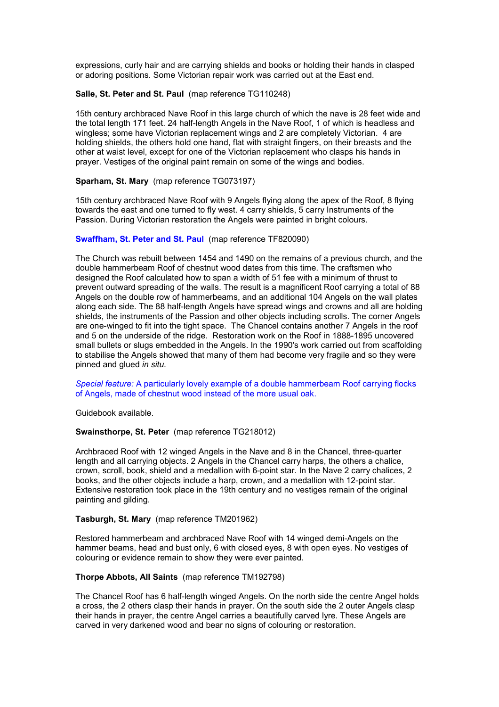expressions, curly hair and are carrying shields and books or holding their hands in clasped or adoring positions. Some Victorian repair work was carried out at the East end.

## **Salle, St. Peter and St. Paul** (map reference TG110248)

15th century archbraced Nave Roof in this large church of which the nave is 28 feet wide and the total length 171 feet. 24 half-length Angels in the Nave Roof, 1 of which is headless and wingless; some have Victorian replacement wings and 2 are completely Victorian. 4 are holding shields, the others hold one hand, flat with straight fingers, on their breasts and the other at waist level, except for one of the Victorian replacement who clasps his hands in prayer. Vestiges of the original paint remain on some of the wings and bodies.

#### **Sparham, St. Mary** (map reference TG073197)

15th century archbraced Nave Roof with 9 Angels flying along the apex of the Roof, 8 flying towards the east and one turned to fly west. 4 carry shields, 5 carry Instruments of the Passion. During Victorian restoration the Angels were painted in bright colours.

#### **Swaffham, St. Peter and St. Paul** (map reference TF820090)

The Church was rebuilt between 1454 and 1490 on the remains of a previous church, and the double hammerbeam Roof of chestnut wood dates from this time. The craftsmen who designed the Roof calculated how to span a width of 51 fee with a minimum of thrust to prevent outward spreading of the walls. The result is a magnificent Roof carrying a total of 88 Angels on the double row of hammerbeams, and an additional 104 Angels on the wall plates along each side. The 88 half-length Angels have spread wings and crowns and all are holding shields, the instruments of the Passion and other objects including scrolls. The corner Angels are one-winged to fit into the tight space. The Chancel contains another 7 Angels in the roof and 5 on the underside of the ridge. Restoration work on the Roof in 1888-1895 uncovered small bullets or slugs embedded in the Angels. In the 1990's work carried out from scaffolding to stabilise the Angels showed that many of them had become very fragile and so they were pinned and glued *in situ.*

*Special feature:* A particularly lovely example of a double hammerbeam Roof carrying flocks of Angels, made of chestnut wood instead of the more usual oak.

Guidebook available.

#### **Swainsthorpe, St. Peter** (map reference TG218012)

Archbraced Roof with 12 winged Angels in the Nave and 8 in the Chancel, three-quarter length and all carrying objects. 2 Angels in the Chancel carry harps, the others a chalice, crown, scroll, book, shield and a medallion with 6-point star. In the Nave 2 carry chalices, 2 books, and the other objects include a harp, crown, and a medallion with 12-point star. Extensive restoration took place in the 19th century and no vestiges remain of the original painting and gilding.

# **Tasburgh, St. Mary** (map reference TM201962)

Restored hammerbeam and archbraced Nave Roof with 14 winged demi-Angels on the hammer beams, head and bust only, 6 with closed eyes, 8 with open eyes. No vestiges of colouring or evidence remain to show they were ever painted.

#### **Thorpe Abbots, All Saints** (map reference TM192798)

The Chancel Roof has 6 half-length winged Angels. On the north side the centre Angel holds a cross, the 2 others clasp their hands in prayer. On the south side the 2 outer Angels clasp their hands in prayer, the centre Angel carries a beautifully carved lyre. These Angels are carved in very darkened wood and bear no signs of colouring or restoration.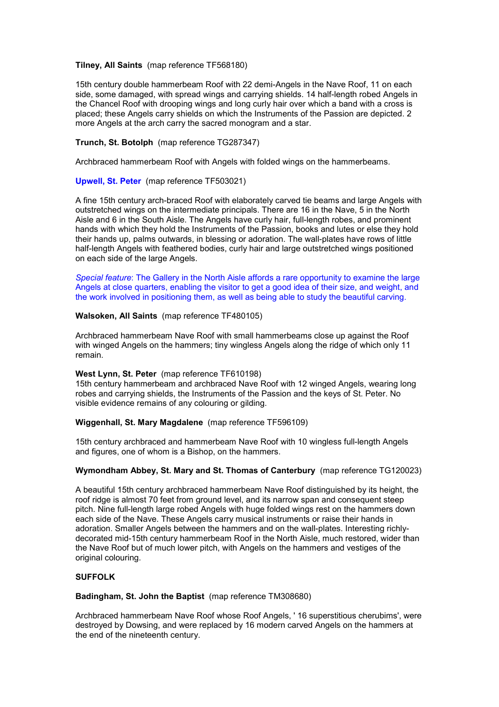## **Tilney, All Saints** (map reference TF568180)

15th century double hammerbeam Roof with 22 demi-Angels in the Nave Roof, 11 on each side, some damaged, with spread wings and carrying shields. 14 half-length robed Angels in the Chancel Roof with drooping wings and long curly hair over which a band with a cross is placed; these Angels carry shields on which the Instruments of the Passion are depicted. 2 more Angels at the arch carry the sacred monogram and a star.

# **Trunch, St. Botolph** (map reference TG287347)

Archbraced hammerbeam Roof with Angels with folded wings on the hammerbeams.

## **Upwell, St. Peter** (map reference TF503021)

A fine 15th century arch-braced Roof with elaborately carved tie beams and large Angels with outstretched wings on the intermediate principals. There are 16 in the Nave, 5 in the North Aisle and 6 in the South Aisle. The Angels have curly hair, full-length robes, and prominent hands with which they hold the Instruments of the Passion, books and lutes or else they hold their hands up, palms outwards, in blessing or adoration. The wall-plates have rows of little half-length Angels with feathered bodies, curly hair and large outstretched wings positioned on each side of the large Angels.

*Special feature*: The Gallery in the North Aisle affords a rare opportunity to examine the large Angels at close quarters, enabling the visitor to get a good idea of their size, and weight, and the work involved in positioning them, as well as being able to study the beautiful carving.

# **Walsoken, All Saints** (map reference TF480105)

Archbraced hammerbeam Nave Roof with small hammerbeams close up against the Roof with winged Angels on the hammers; tiny wingless Angels along the ridge of which only 11 remain.

## **West Lynn, St. Peter** (map reference TF610198)

15th century hammerbeam and archbraced Nave Roof with 12 winged Angels, wearing long robes and carrying shields, the Instruments of the Passion and the keys of St. Peter. No visible evidence remains of any colouring or gilding.

## **Wiggenhall, St. Mary Magdalene** (map reference TF596109)

15th century archbraced and hammerbeam Nave Roof with 10 wingless full-length Angels and figures, one of whom is a Bishop, on the hammers.

## **Wymondham Abbey, St. Mary and St. Thomas of Canterbury** (map reference TG120023)

A beautiful 15th century archbraced hammerbeam Nave Roof distinguished by its height, the roof ridge is almost 70 feet from ground level, and its narrow span and consequent steep pitch. Nine full-length large robed Angels with huge folded wings rest on the hammers down each side of the Nave. These Angels carry musical instruments or raise their hands in adoration. Smaller Angels between the hammers and on the wall-plates. Interesting richlydecorated mid-15th century hammerbeam Roof in the North Aisle, much restored, wider than the Nave Roof but of much lower pitch, with Angels on the hammers and vestiges of the original colouring.

# **SUFFOLK**

**Badingham, St. John the Baptist** (map reference TM308680)

Archbraced hammerbeam Nave Roof whose Roof Angels, ' 16 superstitious cherubims', were destroyed by Dowsing, and were replaced by 16 modern carved Angels on the hammers at the end of the nineteenth century.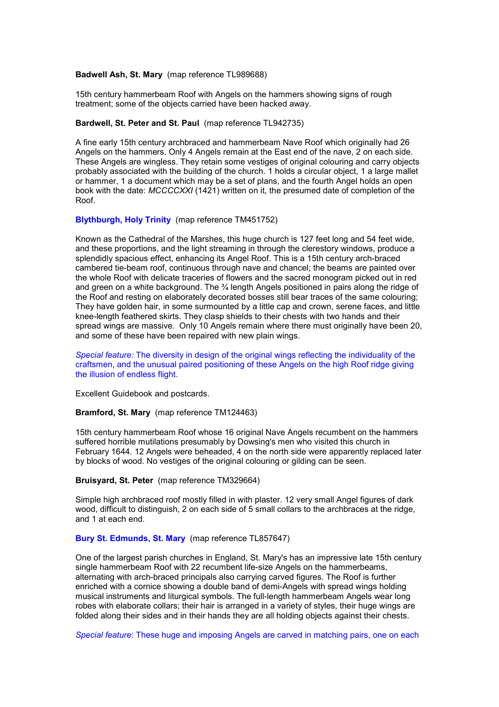#### **Badwell Ash, St. Mary** (map reference TL989688)

15th century hammerbeam Roof with Angels on the hammers showing signs of rough treatment; some of the objects carried have been hacked away.

## **Bardwell, St. Peter and St. Paul** (map reference TL942735)

A fine early 15th century archbraced and hammerbeam Nave Roof which originally had 26 Angels on the hammers. Only 4 Angels remain at the East end of the nave, 2 on each side. These Angels are wingless. They retain some vestiges of original colouring and carry objects probably associated with the building of the church. 1 holds a circular object, 1 a large mallet or hammer, 1 a document which may be a set of plans, and the fourth Angel holds an open book with the date: *MCCCCXXI* (1421) written on it, the presumed date of completion of the Roof.

#### **Blythburgh, Holy Trinity** (map reference TM451752)

Known as the Cathedral of the Marshes, this huge church is 127 feet long and 54 feet wide, and these proportions, and the light streaming in through the clerestory windows, produce a splendidly spacious effect, enhancing its Angel Roof. This is a 15th century arch-braced cambered tie-beam roof, continuous through nave and chancel; the beams are painted over the whole Roof with delicate traceries of flowers and the sacred monogram picked out in red and green on a white background. The  $\frac{3}{4}$  length Angels positioned in pairs along the ridge of the Roof and resting on elaborately decorated bosses still bear traces of the same colouring; They have golden hair, in some surmounted by a little cap and crown, serene faces, and little knee-length feathered skirts. They clasp shields to their chests with two hands and their spread wings are massive. Only 10 Angels remain where there must originally have been 20, and some of these have been repaired with new plain wings.

*Special feature:* The diversity in design of the original wings reflecting the individuality of the craftsmen, and the unusual paired positioning of these Angels on the high Roof ridge giving the illusion of endless flight.

Excellent Guidebook and postcards.

**Bramford, St. Mary** (map reference TM124463)

15th century hammerbeam Roof whose 16 original Nave Angels recumbent on the hammers suffered horrible mutilations presumably by Dowsing's men who visited this church in February 1644. 12 Angels were beheaded, 4 on the north side were apparently replaced later by blocks of wood. No vestiges of the original colouring or gilding can be seen.

#### **Bruisyard, St. Peter** (map reference TM329664)

Simple high archbraced roof mostly filled in with plaster. 12 very small Angel figures of dark wood, difficult to distinguish, 2 on each side of 5 small collars to the archbraces at the ridge, and 1 at each end.

# **Bury St. Edmunds, St. Mary** (map reference TL857647)

One of the largest parish churches in England, St. Mary's has an impressive late 15th century single hammerbeam Roof with 22 recumbent life-size Angels on the hammerbeams, alternating with arch-braced principals also carrying carved figures. The Roof is further enriched with a cornice showing a double band of demi-Angels with spread wings holding musical instruments and liturgical symbols. The full-length hammerbeam Angels wear long robes with elaborate collars; their hair is arranged in a variety of styles, their huge wings are folded along their sides and in their hands they are all holding objects against their chests.

*Special feature*: These huge and imposing Angels are carved in matching pairs, one on each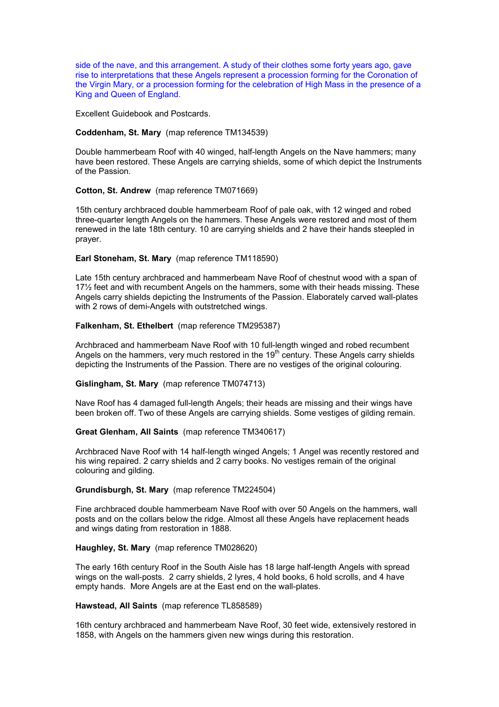side of the nave, and this arrangement. A study of their clothes some forty years ago, gave rise to interpretations that these Angels represent a procession forming for the Coronation of the Virgin Mary, or a procession forming for the celebration of High Mass in the presence of a King and Queen of England.

Excellent Guidebook and Postcards.

# **Coddenham, St. Mary** (map reference TM134539)

Double hammerbeam Roof with 40 winged, half-length Angels on the Nave hammers; many have been restored. These Angels are carrying shields, some of which depict the Instruments of the Passion.

#### **Cotton, St. Andrew** (map reference TM071669)

15th century archbraced double hammerbeam Roof of pale oak, with 12 winged and robed three-quarter length Angels on the hammers. These Angels were restored and most of them renewed in the late 18th century. 10 are carrying shields and 2 have their hands steepled in prayer.

#### **Earl Stoneham, St. Mary** (map reference TM118590)

Late 15th century archbraced and hammerbeam Nave Roof of chestnut wood with a span of 17½ feet and with recumbent Angels on the hammers, some with their heads missing. These Angels carry shields depicting the Instruments of the Passion. Elaborately carved wall-plates with 2 rows of demi-Angels with outstretched wings.

# **Falkenham, St. Ethelbert** (map reference TM295387)

Archbraced and hammerbeam Nave Roof with 10 full-length winged and robed recumbent Angels on the hammers, very much restored in the  $19<sup>th</sup>$  century. These Angels carry shields depicting the Instruments of the Passion. There are no vestiges of the original colouring.

#### **Gislingham, St. Mary** (map reference TM074713)

Nave Roof has 4 damaged full-length Angels; their heads are missing and their wings have been broken off. Two of these Angels are carrying shields. Some vestiges of gilding remain.

## **Great Glenham, All Saints** (map reference TM340617)

Archbraced Nave Roof with 14 half-length winged Angels; 1 Angel was recently restored and his wing repaired. 2 carry shields and 2 carry books. No vestiges remain of the original colouring and gilding.

#### **Grundisburgh, St. Mary** (map reference TM224504)

Fine archbraced double hammerbeam Nave Roof with over 50 Angels on the hammers, wall posts and on the collars below the ridge. Almost all these Angels have replacement heads and wings dating from restoration in 1888.

# **Haughley, St. Mary** (map reference TM028620)

The early 16th century Roof in the South Aisle has 18 large half-length Angels with spread wings on the wall-posts. 2 carry shields, 2 lyres, 4 hold books, 6 hold scrolls, and 4 have empty hands. More Angels are at the East end on the wall-plates.

#### **Hawstead, All Saints** (map reference TL858589)

16th century archbraced and hammerbeam Nave Roof, 30 feet wide, extensively restored in 1858, with Angels on the hammers given new wings during this restoration.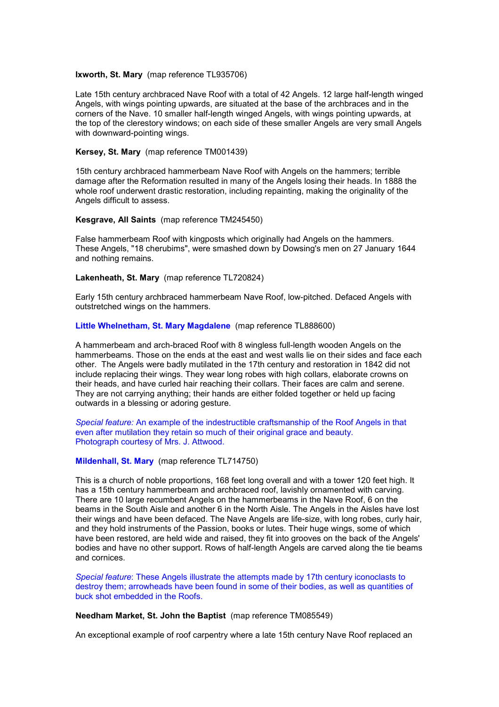#### **Ixworth, St. Mary** (map reference TL935706)

Late 15th century archbraced Nave Roof with a total of 42 Angels. 12 large half-length winged Angels, with wings pointing upwards, are situated at the base of the archbraces and in the corners of the Nave. 10 smaller half-length winged Angels, with wings pointing upwards, at the top of the clerestory windows; on each side of these smaller Angels are very small Angels with downward-pointing wings.

# **Kersey, St. Mary** (map reference TM001439)

15th century archbraced hammerbeam Nave Roof with Angels on the hammers; terrible damage after the Reformation resulted in many of the Angels losing their heads. In 1888 the whole roof underwent drastic restoration, including repainting, making the originality of the Angels difficult to assess.

#### **Kesgrave, All Saints** (map reference TM245450)

False hammerbeam Roof with kingposts which originally had Angels on the hammers. These Angels, "18 cherubims", were smashed down by Dowsing's men on 27 January 1644 and nothing remains.

#### **Lakenheath, St. Mary** (map reference TL720824)

Early 15th century archbraced hammerbeam Nave Roof, low-pitched. Defaced Angels with outstretched wings on the hammers.

# **Little Whelnetham, St. Mary Magdalene** (map reference TL888600)

A hammerbeam and arch-braced Roof with 8 wingless full-length wooden Angels on the hammerbeams. Those on the ends at the east and west walls lie on their sides and face each other. The Angels were badly mutilated in the 17th century and restoration in 1842 did not include replacing their wings. They wear long robes with high collars, elaborate crowns on their heads, and have curled hair reaching their collars. Their faces are calm and serene. They are not carrying anything; their hands are either folded together or held up facing outwards in a blessing or adoring gesture.

*Special feature:* An example of the indestructible craftsmanship of the Roof Angels in that even after mutilation they retain so much of their original grace and beauty. Photograph courtesy of Mrs. J. Attwood.

#### **Mildenhall, St. Mary** (map reference TL714750)

This is a church of noble proportions, 168 feet long overall and with a tower 120 feet high. It has a 15th century hammerbeam and archbraced roof, lavishly ornamented with carving. There are 10 large recumbent Angels on the hammerbeams in the Nave Roof, 6 on the beams in the South Aisle and another 6 in the North Aisle. The Angels in the Aisles have lost their wings and have been defaced. The Nave Angels are life-size, with long robes, curly hair, and they hold instruments of the Passion, books or lutes. Their huge wings, some of which have been restored, are held wide and raised, they fit into grooves on the back of the Angels' bodies and have no other support. Rows of half-length Angels are carved along the tie beams and cornices.

*Special feature*: These Angels illustrate the attempts made by 17th century iconoclasts to destroy them; arrowheads have been found in some of their bodies, as well as quantities of buck shot embedded in the Roofs.

#### **Needham Market, St. John the Baptist** (map reference TM085549)

An exceptional example of roof carpentry where a late 15th century Nave Roof replaced an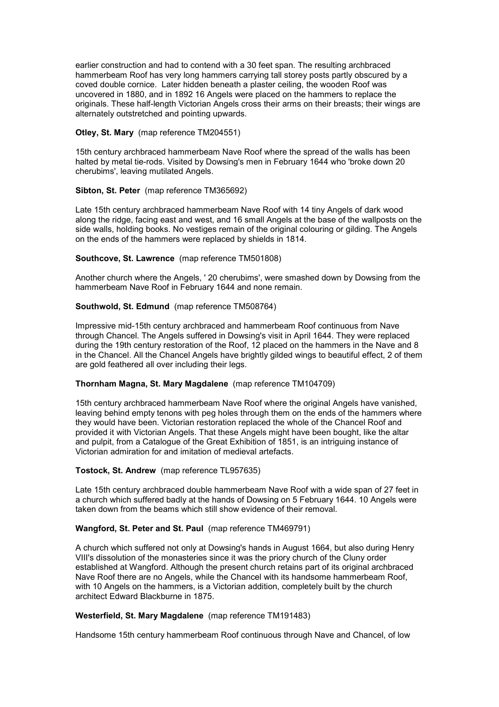earlier construction and had to contend with a 30 feet span. The resulting archbraced hammerbeam Roof has very long hammers carrying tall storey posts partly obscured by a coved double cornice. Later hidden beneath a plaster ceiling, the wooden Roof was uncovered in 1880, and in 1892 16 Angels were placed on the hammers to replace the originals. These half-length Victorian Angels cross their arms on their breasts; their wings are alternately outstretched and pointing upwards.

# **Otley, St. Mary** (map reference TM204551)

15th century archbraced hammerbeam Nave Roof where the spread of the walls has been halted by metal tie-rods. Visited by Dowsing's men in February 1644 who 'broke down 20 cherubims', leaving mutilated Angels.

# **Sibton, St. Peter** (map reference TM365692)

Late 15th century archbraced hammerbeam Nave Roof with 14 tiny Angels of dark wood along the ridge, facing east and west, and 16 small Angels at the base of the wallposts on the side walls, holding books. No vestiges remain of the original colouring or gilding. The Angels on the ends of the hammers were replaced by shields in 1814.

# **Southcove, St. Lawrence** (map reference TM501808)

Another church where the Angels, ' 20 cherubims', were smashed down by Dowsing from the hammerbeam Nave Roof in February 1644 and none remain.

# **Southwold, St. Edmund** (map reference TM508764)

Impressive mid-15th century archbraced and hammerbeam Roof continuous from Nave through Chancel. The Angels suffered in Dowsing's visit in April 1644. They were replaced during the 19th century restoration of the Roof, 12 placed on the hammers in the Nave and 8 in the Chancel. All the Chancel Angels have brightly gilded wings to beautiful effect, 2 of them are gold feathered all over including their legs.

## **Thornham Magna, St. Mary Magdalene** (map reference TM104709)

15th century archbraced hammerbeam Nave Roof where the original Angels have vanished, leaving behind empty tenons with peg holes through them on the ends of the hammers where they would have been. Victorian restoration replaced the whole of the Chancel Roof and provided it with Victorian Angels. That these Angels might have been bought, like the altar and pulpit, from a Catalogue of the Great Exhibition of 1851, is an intriguing instance of Victorian admiration for and imitation of medieval artefacts.

# **Tostock, St. Andrew** (map reference TL957635)

Late 15th century archbraced double hammerbeam Nave Roof with a wide span of 27 feet in a church which suffered badly at the hands of Dowsing on 5 February 1644. 10 Angels were taken down from the beams which still show evidence of their removal.

# **Wangford, St. Peter and St. Paul** (map reference TM469791)

A church which suffered not only at Dowsing's hands in August 1664, but also during Henry VIII's dissolution of the monasteries since it was the priory church of the Cluny order established at Wangford. Although the present church retains part of its original archbraced Nave Roof there are no Angels, while the Chancel with its handsome hammerbeam Roof, with 10 Angels on the hammers, is a Victorian addition, completely built by the church architect Edward Blackburne in 1875.

## **Westerfield, St. Mary Magdalene** (map reference TM191483)

Handsome 15th century hammerbeam Roof continuous through Nave and Chancel, of low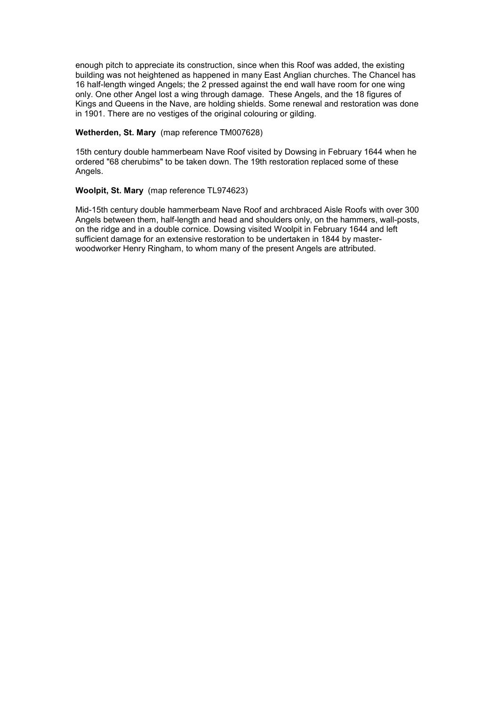enough pitch to appreciate its construction, since when this Roof was added, the existing building was not heightened as happened in many East Anglian churches. The Chancel has 16 half-length winged Angels; the 2 pressed against the end wall have room for one wing only. One other Angel lost a wing through damage. These Angels, and the 18 figures of Kings and Queens in the Nave, are holding shields. Some renewal and restoration was done in 1901. There are no vestiges of the original colouring or gilding.

# **Wetherden, St. Mary** (map reference TM007628)

15th century double hammerbeam Nave Roof visited by Dowsing in February 1644 when he ordered "68 cherubims" to be taken down. The 19th restoration replaced some of these Angels.

# **Woolpit, St. Mary** (map reference TL974623)

Mid-15th century double hammerbeam Nave Roof and archbraced Aisle Roofs with over 300 Angels between them, half-length and head and shoulders only, on the hammers, wall-posts, on the ridge and in a double cornice. Dowsing visited Woolpit in February 1644 and left sufficient damage for an extensive restoration to be undertaken in 1844 by masterwoodworker Henry Ringham, to whom many of the present Angels are attributed.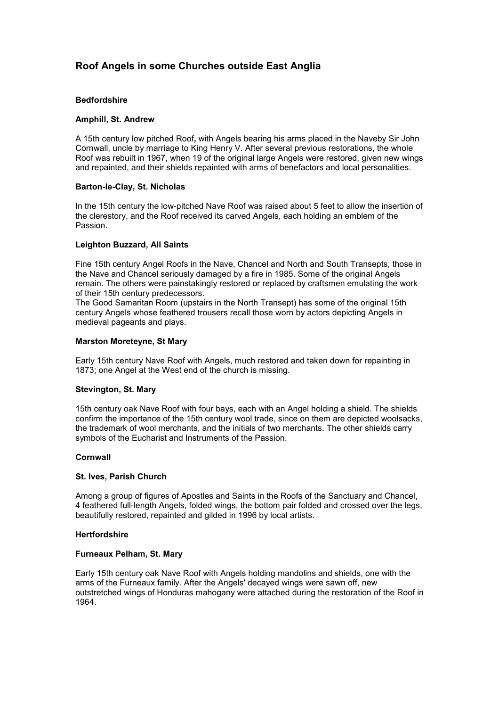# **Roof Angels in some Churches outside East Anglia**

# **Bedfordshire**

## **Amphill, St. Andrew**

A 15th century low pitched Roof**,** with Angels bearing his arms placed in the Naveby Sir John Cornwall, uncle by marriage to King Henry V. After several previous restorations, the whole Roof was rebuilt in 1967, when 19 of the original large Angels were restored, given new wings and repainted, and their shields repainted with arms of benefactors and local personalities.

## **Barton-le-Clay, St. Nicholas**

In the 15th century the low-pitched Nave Roof was raised about 5 feet to allow the insertion of the clerestory, and the Roof received its carved Angels, each holding an emblem of the Passion.

## **Leighton Buzzard, All Saints**

Fine 15th century Angel Roofs in the Nave, Chancel and North and South Transepts, those in the Nave and Chancel seriously damaged by a fire in 1985. Some of the original Angels remain. The others were painstakingly restored or replaced by craftsmen emulating the work of their 15th century predecessors.

The Good Samaritan Room (upstairs in the North Transept) has some of the original 15th century Angels whose feathered trousers recall those worn by actors depicting Angels in medieval pageants and plays.

#### **Marston Moreteyne, St Mary**

Early 15th century Nave Roof with Angels, much restored and taken down for repainting in 1873; one Angel at the West end of the church is missing.

## **Stevington, St. Mary**

15th century oak Nave Roof with four bays, each with an Angel holding a shield. The shields confirm the importance of the 15th century wool trade, since on them are depicted woolsacks, the trademark of wool merchants, and the initials of two merchants. The other shields carry symbols of the Eucharist and Instruments of the Passion.

#### **Cornwall**

## **St. Ives, Parish Church**

Among a group of figures of Apostles and Saints in the Roofs of the Sanctuary and Chancel, 4 feathered full-length Angels, folded wings, the bottom pair folded and crossed over the legs, beautifully restored, repainted and gilded in 1996 by local artists.

## **Hertfordshire**

#### **Furneaux Pelham, St. Mary**

Early 15th century oak Nave Roof with Angels holding mandolins and shields, one with the arms of the Furneaux family. After the Angels' decayed wings were sawn off, new outstretched wings of Honduras mahogany were attached during the restoration of the Roof in 1964.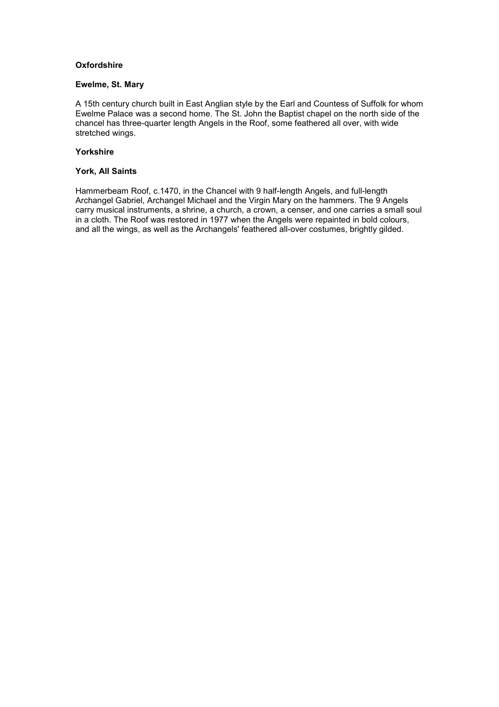# **Oxfordshire**

#### **Ewelme, St. Mary**

A 15th century church built in East Anglian style by the Earl and Countess of Suffolk for whom Ewelme Palace was a second home. The St. John the Baptist chapel on the north side of the chancel has three-quarter length Angels in the Roof, some feathered all over, with wide stretched wings.

# **Yorkshire**

# **York, All Saints**

Hammerbeam Roof, c.1470, in the Chancel with 9 half-length Angels, and full-length Archangel Gabriel, Archangel Michael and the Virgin Mary on the hammers. The 9 Angels carry musical instruments, a shrine, a church, a crown, a censer, and one carries a small soul in a cloth. The Roof was restored in 1977 when the Angels were repainted in bold colours, and all the wings, as well as the Archangels' feathered all-over costumes, brightly gilded.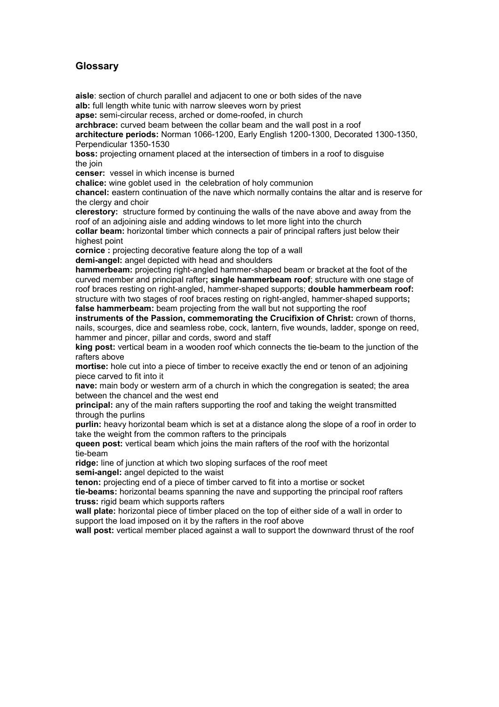# **Glossary**

**aisle**: section of church parallel and adjacent to one or both sides of the nave **alb:** full length white tunic with narrow sleeves worn by priest

**apse:** semi-circular recess, arched or dome-roofed, in church

**archbrace:** curved beam between the collar beam and the wall post in a roof

**architecture periods:** Norman 1066-1200, Early English 1200-1300, Decorated 1300-1350, Perpendicular 1350-1530

**boss:** projecting ornament placed at the intersection of timbers in a roof to disguise the join

**censer:** vessel in which incense is burned

**chalice:** wine goblet used in the celebration of holy communion

**chancel:** eastern continuation of the nave which normally contains the altar and is reserve for the clergy and choir

**clerestory:** structure formed by continuing the walls of the nave above and away from the roof of an adjoining aisle and adding windows to let more light into the church

**collar beam:** horizontal timber which connects a pair of principal rafters just below their highest point

**cornice :** projecting decorative feature along the top of a wall

**demi-angel:** angel depicted with head and shoulders

**hammerbeam:** projecting right-angled hammer-shaped beam or bracket at the foot of the curved member and principal rafter**; single hammerbeam roof**; structure with one stage of roof braces resting on right-angled, hammer-shaped supports; **double hammerbeam roof:** structure with two stages of roof braces resting on right-angled, hammer-shaped supports**; false hammerbeam:** beam projecting from the wall but not supporting the roof

**instruments of the Passion, commemorating the Crucifixion of Christ:** crown of thorns, nails, scourges, dice and seamless robe, cock, lantern, five wounds, ladder, sponge on reed, hammer and pincer, pillar and cords, sword and staff

**king post:** vertical beam in a wooden roof which connects the tie-beam to the junction of the rafters above

**mortise:** hole cut into a piece of timber to receive exactly the end or tenon of an adjoining piece carved to fit into it

**nave:** main body or western arm of a church in which the congregation is seated; the area between the chancel and the west end

**principal:** any of the main rafters supporting the roof and taking the weight transmitted through the purlins

**purlin:** heavy horizontal beam which is set at a distance along the slope of a roof in order to take the weight from the common rafters to the principals

**queen post:** vertical beam which joins the main rafters of the roof with the horizontal tie-beam

**ridge:** line of junction at which two sloping surfaces of the roof meet **semi-angel:** angel depicted to the waist

**tenon:** projecting end of a piece of timber carved to fit into a mortise or socket

**tie-beams:** horizontal beams spanning the nave and supporting the principal roof rafters **truss:** rigid beam which supports rafters

**wall plate:** horizontal piece of timber placed on the top of either side of a wall in order to support the load imposed on it by the rafters in the roof above

**wall post:** vertical member placed against a wall to support the downward thrust of the roof